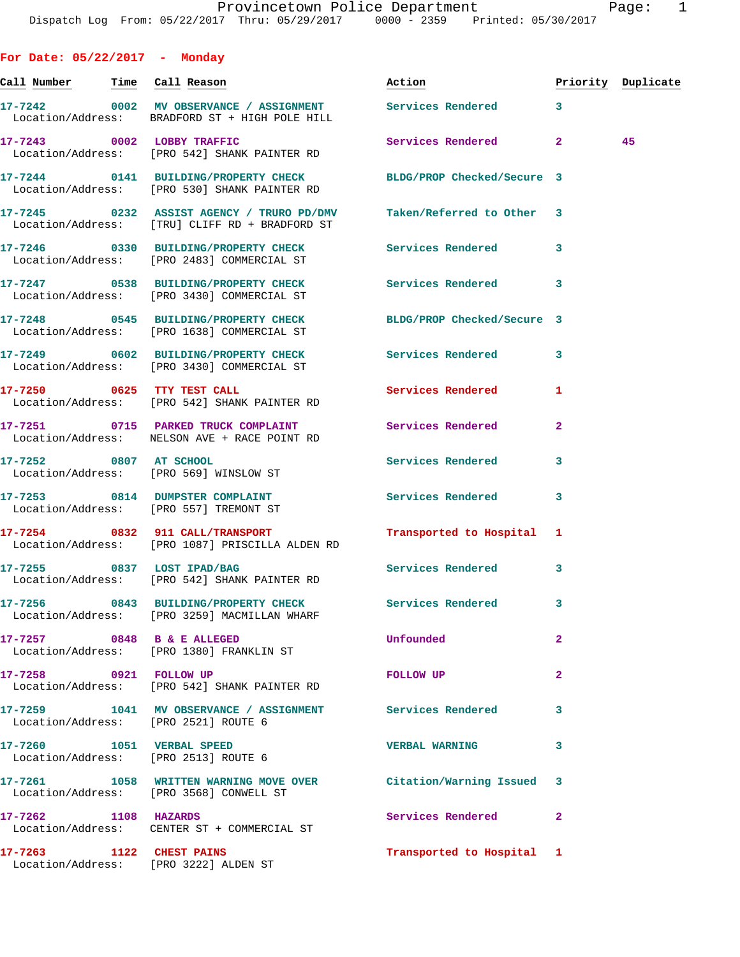**For Date: 05/22/2017 - Monday Call Number Time Call Reason Action Priority Duplicate 17-7242 0002 MV OBSERVANCE / ASSIGNMENT Services Rendered 3**  Location/Address: BRADFORD ST + HIGH POLE HILL **17-7243 0002 LOBBY TRAFFIC Services Rendered 2 45**  Location/Address: [PRO 542] SHANK PAINTER RD **17-7244 0141 BUILDING/PROPERTY CHECK BLDG/PROP Checked/Secure 3**  Location/Address: [PRO 530] SHANK PAINTER RD **17-7245 0232 ASSIST AGENCY / TRURO PD/DMV Taken/Referred to Other 3**  Location/Address: [TRU] CLIFF RD + BRADFORD ST **17-7246 0330 BUILDING/PROPERTY CHECK Services Rendered 3**  Location/Address: [PRO 2483] COMMERCIAL ST **17-7247 0538 BUILDING/PROPERTY CHECK Services Rendered 3**  Location/Address: [PRO 3430] COMMERCIAL ST **17-7248 0545 BUILDING/PROPERTY CHECK BLDG/PROP Checked/Secure 3**  Location/Address: [PRO 1638] COMMERCIAL ST **17-7249 0602 BUILDING/PROPERTY CHECK Services Rendered 3**  Location/Address: [PRO 3430] COMMERCIAL ST **17-7250 0625 TTY TEST CALL Services Rendered 1**  Location/Address: [PRO 542] SHANK PAINTER RD **17-7251 0715 PARKED TRUCK COMPLAINT Services Rendered 2**  Location/Address: NELSON AVE + RACE POINT RD **17-7252 0807 AT SCHOOL Services Rendered 3**  Location/Address: [PRO 569] WINSLOW ST **17-7253 0814 DUMPSTER COMPLAINT Services Rendered 3**  Location/Address: [PRO 557] TREMONT ST **17-7254 0832 911 CALL/TRANSPORT Transported to Hospital 1**  Location/Address: [PRO 1087] PRISCILLA ALDEN RD **17-7255 0837 LOST IPAD/BAG Services Rendered 3**  Location/Address: [PRO 542] SHANK PAINTER RD **17-7256 0843 BUILDING/PROPERTY CHECK Services Rendered 3**  Location/Address: [PRO 3259] MACMILLAN WHARF **17-7257 0848 B & E ALLEGED Unfounded 2**  Location/Address: [PRO 1380] FRANKLIN ST **17-7258 0921 FOLLOW UP FOLLOW UP 2**  Location/Address: [PRO 542] SHANK PAINTER RD **17-7259 1041 MV OBSERVANCE / ASSIGNMENT Services Rendered 3**  Location/Address: [PRO 2521] ROUTE 6 **17-7260 1051 VERBAL SPEED VERBAL WARNING 3**  Location/Address: [PRO 2513] ROUTE 6 **17-7261 1058 WRITTEN WARNING MOVE OVER Citation/Warning Issued 3**  Location/Address: [PRO 3568] CONWELL ST **17-7262 1108 HAZARDS Services Rendered 2**  Location/Address: CENTER ST + COMMERCIAL ST

**17-7263 1122 CHEST PAINS Transported to Hospital 1**  Location/Address: [PRO 3222] ALDEN ST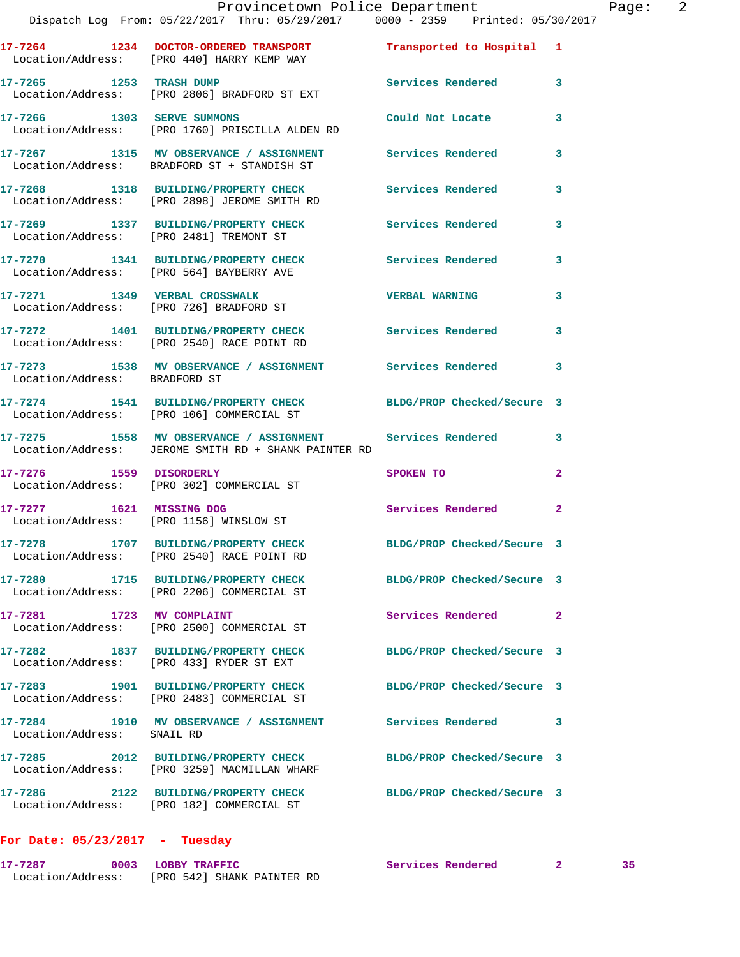|                               | 17-7264 1234 DOCTOR-ORDERED TRANSPORT<br>Location/Address: [PRO 440] HARRY KEMP WAY                               | Transported to Hospital    | $\mathbf{1}$ |
|-------------------------------|-------------------------------------------------------------------------------------------------------------------|----------------------------|--------------|
| 17-7265 1253 TRASH DUMP       | Location/Address: [PRO 2806] BRADFORD ST EXT                                                                      | Services Rendered          | 3            |
| 17-7266 1303 SERVE SUMMONS    | Location/Address: [PRO 1760] PRISCILLA ALDEN RD                                                                   | Could Not Locate           | 3            |
|                               | 17-7267 1315 MV OBSERVANCE / ASSIGNMENT<br>Location/Address: BRADFORD ST + STANDISH ST                            | Services Rendered          | 3            |
|                               | 17-7268 1318 BUILDING/PROPERTY CHECK<br>Location/Address: [PRO 2898] JEROME SMITH RD                              | Services Rendered          | 3            |
|                               | 17-7269 1337 BUILDING/PROPERTY CHECK<br>Location/Address: [PRO 2481] TREMONT ST                                   | Services Rendered          | 3            |
|                               | 17-7270 1341 BUILDING/PROPERTY CHECK<br>Location/Address: [PRO 564] BAYBERRY AVE                                  | <b>Services Rendered</b>   | 3            |
| 17-7271 1349 VERBAL CROSSWALK | Location/Address: [PRO 726] BRADFORD ST                                                                           | <b>VERBAL WARNING</b>      | 3            |
|                               | 17-7272 1401 BUILDING/PROPERTY CHECK<br>Location/Address: [PRO 2540] RACE POINT RD                                | Services Rendered          | 3            |
| Location/Address: BRADFORD ST | 17-7273 1538 MV OBSERVANCE / ASSIGNMENT                                                                           | Services Rendered          | 3            |
|                               | 17-7274 1541 BUILDING/PROPERTY CHECK                                                                              | BLDG/PROP Checked/Secure 3 |              |
|                               | Location/Address: [PRO 106] COMMERCIAL ST                                                                         |                            |              |
|                               | 17-7275 1558 MV OBSERVANCE / ASSIGNMENT Services Rendered<br>Location/Address: JEROME SMITH RD + SHANK PAINTER RD |                            | 3            |
| 17-7276 1559 DISORDERLY       | Location/Address: [PRO 302] COMMERCIAL ST                                                                         | SPOKEN TO                  | $\mathbf{2}$ |
| 17-7277 1621 MISSING DOG      | Location/Address: [PRO 1156] WINSLOW ST                                                                           | Services Rendered          | 2            |
|                               | 17-7278 1707 BUILDING/PROPERTY CHECK<br>Location/Address: [PRO 2540] RACE POINT RD                                | BLDG/PROP Checked/Secure 3 |              |
| 17-7280                       | 1715 BUILDING/PROPERTY CHECK<br>Location/Address: [PRO 2206] COMMERCIAL ST                                        | BLDG/PROP Checked/Secure 3 |              |
|                               | 17-7281 1723 MV COMPLAINT<br>Location/Address: [PRO 2500] COMMERCIAL ST                                           | Services Rendered          | $\mathbf{2}$ |
|                               | 17-7282 1837 BUILDING/PROPERTY CHECK<br>Location/Address: [PRO 433] RYDER ST EXT                                  | BLDG/PROP Checked/Secure 3 |              |
|                               | 17-7283 1901 BUILDING/PROPERTY CHECK<br>Location/Address: [PRO 2483] COMMERCIAL ST                                | BLDG/PROP Checked/Secure 3 |              |
| Location/Address: SNAIL RD    | 17-7284 1910 MV OBSERVANCE / ASSIGNMENT                                                                           | Services Rendered          | 3            |
|                               | 17-7285 2012 BUILDING/PROPERTY CHECK<br>Location/Address: [PRO 3259] MACMILLAN WHARF                              | BLDG/PROP Checked/Secure 3 |              |
|                               | 17-7286 2122 BUILDING/PROPERTY CHECK<br>Location/Address: [PRO 182] COMMERCIAL ST                                 | BLDG/PROP Checked/Secure 3 |              |

## **For Date: 05/23/2017 - Tuesday**

| 17-7287           | 0003 LOBBY TRAFFIC         | Services Rendered |  |  |
|-------------------|----------------------------|-------------------|--|--|
| Location/Address: | FPRO 5421 SHANK PAINTER RD |                   |  |  |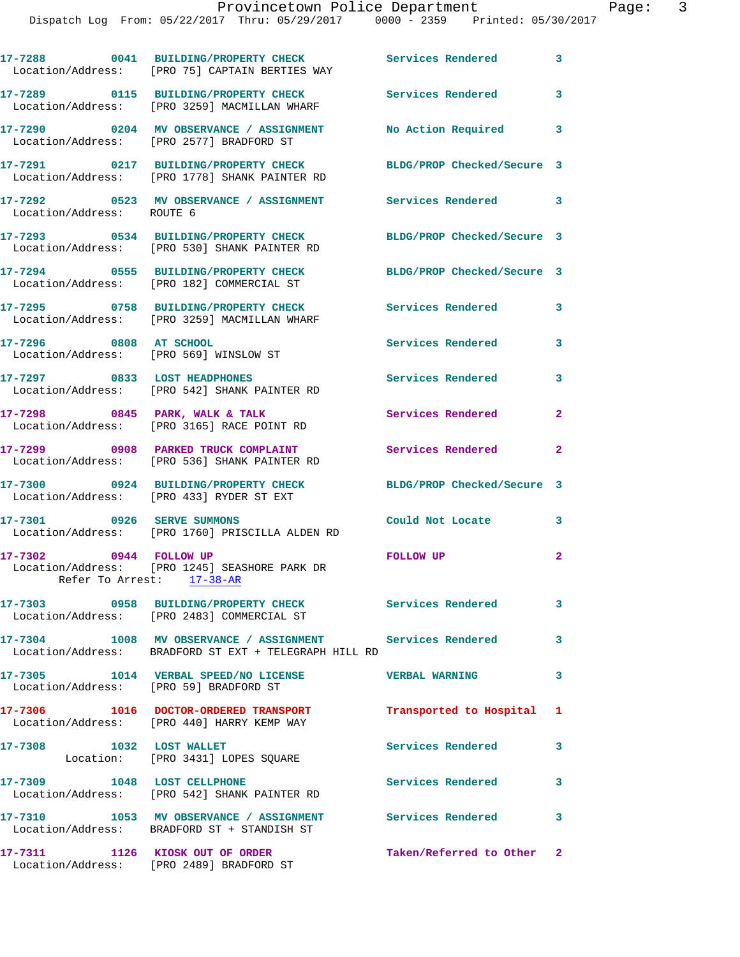Dispatch Log From: 05/22/2017 Thru: 05/29/2017 0000 - 2359 Printed: 05/30/2017

|                                                     | 17-7288 0041 BUILDING/PROPERTY CHECK<br>Location/Address: [PRO 75] CAPTAIN BERTIES WAY                             | <b>Services Rendered</b>   | 3              |
|-----------------------------------------------------|--------------------------------------------------------------------------------------------------------------------|----------------------------|----------------|
|                                                     | 17-7289 0115 BUILDING/PROPERTY CHECK<br>Location/Address: [PRO 3259] MACMILLAN WHARF                               | Services Rendered 3        |                |
|                                                     | 17-7290 0204 MV OBSERVANCE / ASSIGNMENT<br>Location/Address: [PRO 2577] BRADFORD ST                                | No Action Required         | 3              |
|                                                     | 17-7291 0217 BUILDING/PROPERTY CHECK<br>Location/Address: [PRO 1778] SHANK PAINTER RD                              | BLDG/PROP Checked/Secure 3 |                |
| Location/Address: ROUTE 6                           | 17-7292 6523 MV OBSERVANCE / ASSIGNMENT Services Rendered 3                                                        |                            |                |
|                                                     | 17-7293 0534 BUILDING/PROPERTY CHECK<br>Location/Address: [PRO 530] SHANK PAINTER RD                               | BLDG/PROP Checked/Secure 3 |                |
|                                                     | 17-7294 0555 BUILDING/PROPERTY CHECK<br>Location/Address: [PRO 182] COMMERCIAL ST                                  | BLDG/PROP Checked/Secure 3 |                |
|                                                     | 17-7295 0758 BUILDING/PROPERTY CHECK<br>Location/Address: [PRO 3259] MACMILLAN WHARF                               | <b>Services Rendered</b>   | 3              |
| 17-7296 0808 AT SCHOOL                              | Location/Address: [PRO 569] WINSLOW ST                                                                             | <b>Services Rendered</b>   | 3              |
|                                                     | 17-7297 0833 LOST HEADPHONES<br>Location/Address: [PRO 542] SHANK PAINTER RD                                       | <b>Services Rendered</b>   | 3              |
|                                                     | 17-7298 0845 PARK, WALK & TALK<br>Location/Address: [PRO 3165] RACE POINT RD                                       | Services Rendered          | $\overline{2}$ |
|                                                     | 17-7299 0908 PARKED TRUCK COMPLAINT<br>Location/Address: [PRO 536] SHANK PAINTER RD                                | Services Rendered          | $\mathbf{2}$   |
|                                                     | 17-7300 0924 BUILDING/PROPERTY CHECK<br>Location/Address: [PRO 433] RYDER ST EXT                                   | BLDG/PROP Checked/Secure 3 |                |
|                                                     | 17-7301 0926 SERVE SUMMONS<br>Location/Address: [PRO 1760] PRISCILLA ALDEN RD                                      | Could Not Locate           | 3              |
| 17-7302 0944 FOLLOW UP<br>Refer To Arrest: 17-38-AR | Location/Address: [PRO 1245] SEASHORE PARK DR                                                                      | <b>FOLLOW UP</b>           | $\overline{a}$ |
|                                                     | 17-7303 0958 BUILDING/PROPERTY CHECK<br>Location/Address: [PRO 2483] COMMERCIAL ST                                 | Services Rendered          | 3              |
|                                                     | 17-7304 1008 MV OBSERVANCE / ASSIGNMENT Services Rendered<br>Location/Address: BRADFORD ST EXT + TELEGRAPH HILL RD |                            | 3              |
|                                                     | 17-7305 1014 VERBAL SPEED/NO LICENSE THE VERBAL WARNING<br>Location/Address: [PRO 59] BRADFORD ST                  |                            | 3              |
|                                                     | 17-7306 1016 DOCTOR-ORDERED TRANSPORT<br>Location/Address: [PRO 440] HARRY KEMP WAY                                | Transported to Hospital 1  |                |
|                                                     | 17-7308 1032 LOST WALLET<br>Location: [PRO 3431] LOPES SQUARE                                                      | <b>Services Rendered</b>   | 3              |
| 17-7309 1048 LOST CELLPHONE                         | Location/Address: [PRO 542] SHANK PAINTER RD                                                                       | Services Rendered          | 3              |
|                                                     | 17-7310 1053 MV OBSERVANCE / ASSIGNMENT<br>Location/Address: BRADFORD ST + STANDISH ST                             | Services Rendered          | 3              |
|                                                     | 17-7311 1126 KIOSK OUT OF ORDER<br>Location/Address: [PRO 2489] BRADFORD ST                                        | Taken/Referred to Other 2  |                |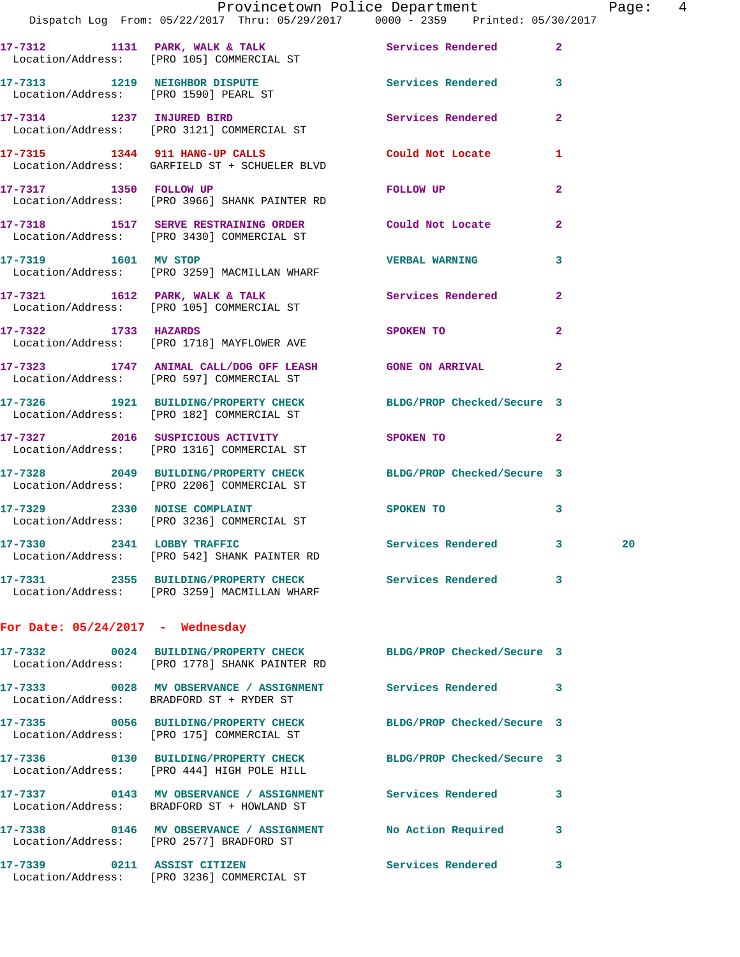|                                    | Provincetown Police Department<br>Dispatch Log From: 05/22/2017 Thru: 05/29/2017 0000 - 2359 Printed: 05/30/2017 |                     |                | Page:  4 |  |
|------------------------------------|------------------------------------------------------------------------------------------------------------------|---------------------|----------------|----------|--|
|                                    | 17-7312 1131 PARK, WALK & TALK 1999 Services Rendered 2                                                          |                     |                |          |  |
|                                    | Location/Address: [PRO 105] COMMERCIAL ST                                                                        |                     |                |          |  |
|                                    | 17-7313 1219 NEIGHBOR DISPUTE Services Rendered 3<br>Location/Address: [PRO 1590] PEARL ST                       |                     |                |          |  |
|                                    | 17-7314 1237 INJURED BIRD<br>Location/Address: [PRO 3121] COMMERCIAL ST                                          | Services Rendered 2 |                |          |  |
|                                    | 17-7315 1344 911 HANG-UP CALLS Could Not Locate 1<br>Location/Address: GARFIELD ST + SCHUELER BLVD               |                     |                |          |  |
|                                    | 17-7317 1350 FOLLOW UP<br>Location/Address: [PRO 3966] SHANK PAINTER RD                                          | FOLLOW UP           | $\overline{2}$ |          |  |
|                                    | 17-7318 1517 SERVE RESTRAINING ORDER Could Not Locate<br>Location/Address: [PRO 3430] COMMERCIAL ST              |                     | $\mathbf{2}$   |          |  |
|                                    | 17-7319 1601 MV STOP<br>Location/Address: [PRO 3259] MACMILLAN WHARF                                             | VERBAL WARNING 3    |                |          |  |
|                                    | 17-7321 1612 PARK, WALK & TALK 1997 Services Rendered 2<br>Location/Address: [PRO 105] COMMERCIAL ST             |                     |                |          |  |
|                                    | 17-7322 1733 HAZARDS SPOKEN TO<br>Location/Address: [PRO 1718] MAYFLOWER AVE                                     |                     | $\mathbf{2}$   |          |  |
|                                    | 17-7323 1747 ANIMAL CALL/DOG OFF LEASH GONE ON ARRIVAL 2<br>Location/Address: [PRO 597] COMMERCIAL ST            |                     |                |          |  |
|                                    | 17-7326 1921 BUILDING/PROPERTY CHECK BLDG/PROP Checked/Secure 3<br>Location/Address: [PRO 182] COMMERCIAL ST     |                     |                |          |  |
|                                    | 17-7327 2016 SUSPICIOUS ACTIVITY<br>Location/Address: [PRO 1316] COMMERCIAL ST                                   | SPOKEN TO 2         |                |          |  |
|                                    | 17-7328 2049 BUILDING/PROPERTY CHECK BLDG/PROP Checked/Secure 3<br>Location/Address: [PRO 2206] COMMERCIAL ST    |                     |                |          |  |
|                                    | 17-7329 2330 NOISE COMPLAINT<br>Location/Address: [PRO 3236] COMMERCIAL ST                                       | SPOKEN TO 3         |                |          |  |
|                                    | 17-7330 2341 LOBBY TRAFFIC<br>Location/Address: [PRO 542] SHANK PAINTER RD                                       | Services Rendered 3 |                | 20       |  |
|                                    | 17-7331 2355 BUILDING/PROPERTY CHECK Services Rendered 3<br>Location/Address: [PRO 3259] MACMILLAN WHARF         |                     |                |          |  |
| For Date: $05/24/2017$ - Wednesday |                                                                                                                  |                     |                |          |  |
|                                    | 17-7332 0024 BUILDING/PROPERTY CHECK BLDG/PROP Checked/Secure 3<br>Location/Address: [PRO 1778] SHANK PAINTER RD |                     |                |          |  |
|                                    | 17-7333 0028 MV OBSERVANCE / ASSIGNMENT Services Rendered 3<br>Location/Address: BRADFORD ST + RYDER ST          |                     |                |          |  |
|                                    | 17-7335 0056 BUILDING/PROPERTY CHECK BLDG/PROP Checked/Secure 3<br>Location/Address: [PRO 175] COMMERCIAL ST     |                     |                |          |  |
|                                    | 17-7336 0130 BUILDING/PROPERTY CHECK BLDG/PROP Checked/Secure 3<br>Location/Address: [PRO 444] HIGH POLE HILL    |                     |                |          |  |
|                                    | 17-7337 0143 MV OBSERVANCE / ASSIGNMENT Services Rendered 3<br>Location/Address: BRADFORD ST + HOWLAND ST        |                     |                |          |  |
|                                    | 17-7338 0146 MV OBSERVANCE / ASSIGNMENT NO Action Required 3<br>Location/Address: [PRO 2577] BRADFORD ST         |                     |                |          |  |
| 17-7339 0211 ASSIST CITIZEN        |                                                                                                                  | Services Rendered 3 |                |          |  |

Location/Address: [PRO 3236] COMMERCIAL ST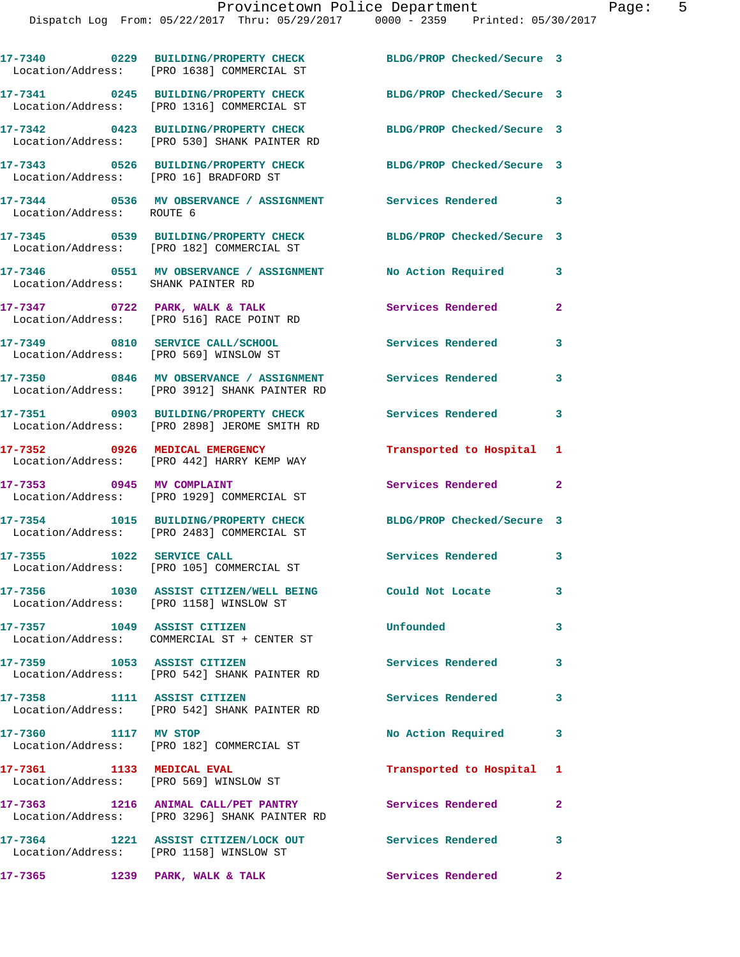|                                                                            | 17-7340 0229 BUILDING/PROPERTY CHECK<br>Location/Address: [PRO 1638] COMMERCIAL ST                 | BLDG/PROP Checked/Secure 3 |                |
|----------------------------------------------------------------------------|----------------------------------------------------------------------------------------------------|----------------------------|----------------|
|                                                                            | 17-7341 0245 BUILDING/PROPERTY CHECK<br>Location/Address: [PRO 1316] COMMERCIAL ST                 | BLDG/PROP Checked/Secure 3 |                |
|                                                                            | 17-7342 0423 BUILDING/PROPERTY CHECK<br>Location/Address: [PRO 530] SHANK PAINTER RD               | BLDG/PROP Checked/Secure 3 |                |
| Location/Address: [PRO 16] BRADFORD ST                                     | 17-7343 0526 BUILDING/PROPERTY CHECK BLDG/PROP Checked/Secure 3                                    |                            |                |
| Location/Address: ROUTE 6                                                  | 17-7344 0536 MV OBSERVANCE / ASSIGNMENT Services Rendered 3                                        |                            |                |
|                                                                            | 17-7345 0539 BUILDING/PROPERTY CHECK<br>Location/Address: [PRO 182] COMMERCIAL ST                  | BLDG/PROP Checked/Secure 3 |                |
| Location/Address: SHANK PAINTER RD                                         | 17-7346   0551 MV OBSERVANCE / ASSIGNMENT   No Action Required                                     |                            | 3              |
|                                                                            | $17-7347$ 0722 PARK, WALK & TALK<br>Location/Address: [PRO 516] RACE POINT RD                      | Services Rendered          | $\overline{a}$ |
| 17-7349 0810 SERVICE CALL/SCHOOL<br>Location/Address: [PRO 569] WINSLOW ST |                                                                                                    | <b>Services Rendered</b>   | 3              |
|                                                                            | 17-7350 0846 MV OBSERVANCE / ASSIGNMENT<br>Location/Address: [PRO 3912] SHANK PAINTER RD           | <b>Services Rendered</b>   | 3              |
|                                                                            | 17-7351 0903 BUILDING/PROPERTY CHECK<br>Location/Address: [PRO 2898] JEROME SMITH RD               | Services Rendered 3        |                |
|                                                                            | 17-7352 0926 MEDICAL EMERGENCY<br>Location/Address: [PRO 442] HARRY KEMP WAY                       | Transported to Hospital 1  |                |
| 17-7353 0945 MV COMPLAINT                                                  | Location/Address: [PRO 1929] COMMERCIAL ST                                                         | Services Rendered 2        |                |
|                                                                            | 17-7354 1015 BUILDING/PROPERTY CHECK<br>Location/Address: [PRO 2483] COMMERCIAL ST                 | BLDG/PROP Checked/Secure 3 |                |
| 17-7355 1022 SERVICE CALL                                                  | Location/Address: [PRO 105] COMMERCIAL ST                                                          | Services Rendered 3        |                |
|                                                                            | 17-7356 1030 ASSIST CITIZEN/WELL BEING Could Not Locate<br>Location/Address: [PRO 1158] WINSLOW ST |                            | 3              |
| 17-7357 1049 ASSIST CITIZEN                                                | Location/Address: COMMERCIAL ST + CENTER ST                                                        | Unfounded                  | 3              |
| 17-7359 1053 ASSIST CITIZEN                                                | Location/Address: [PRO 542] SHANK PAINTER RD                                                       | <b>Services Rendered</b>   | $\mathbf{3}$   |
| 17-7358 1111 ASSIST CITIZEN                                                | Location/Address: [PRO 542] SHANK PAINTER RD                                                       | Services Rendered          | 3              |
| 17-7360 1117 MV STOP                                                       | Location/Address: [PRO 182] COMMERCIAL ST                                                          | No Action Required         | $\mathbf{3}$   |
| 17-7361 1133 MEDICAL EVAL                                                  | Location/Address: [PRO 569] WINSLOW ST                                                             | Transported to Hospital 1  |                |
|                                                                            | 17-7363 1216 ANIMAL CALL/PET PANTRY<br>Location/Address: [PRO 3296] SHANK PAINTER RD               | Services Rendered          | $\mathbf{2}$   |
|                                                                            | 17-7364 1221 ASSIST CITIZEN/LOCK OUT<br>Location/Address: [PRO 1158] WINSLOW ST                    | Services Rendered 3        |                |
|                                                                            |                                                                                                    |                            |                |

17-7365 1239 PARK, WALK & TALK **Services Rendered** 2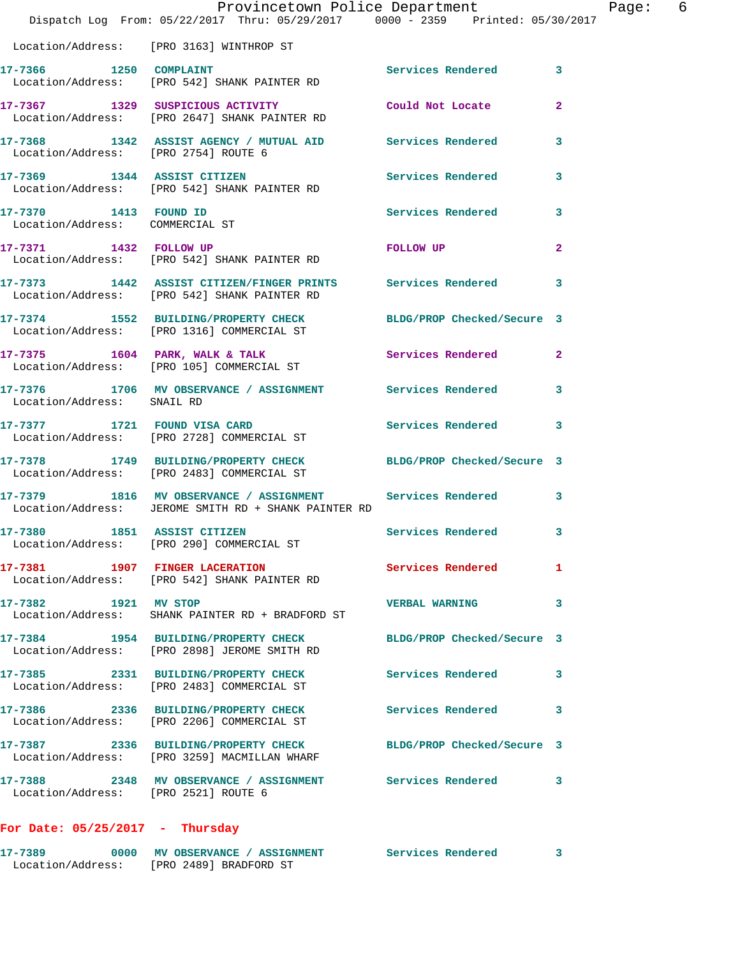|                                                          | Provincetown Police Department<br>Dispatch Log From: 05/22/2017 Thru: 05/29/2017 0000 - 2359 Printed: 05/30/2017    |                            | Page: 6        |
|----------------------------------------------------------|---------------------------------------------------------------------------------------------------------------------|----------------------------|----------------|
|                                                          | Location/Address: [PRO 3163] WINTHROP ST                                                                            |                            |                |
|                                                          | 17-7366 1250 COMPLAINT<br>Location/Address: [PRO 542] SHANK PAINTER RD                                              | Services Rendered          | 3              |
|                                                          | 17-7367 1329 SUSPICIOUS ACTIVITY Could Not Locate<br>Location/Address: [PRO 2647] SHANK PAINTER RD                  |                            | $\mathbf{2}$   |
|                                                          | 17-7368 1342 ASSIST AGENCY / MUTUAL AID Services Rendered<br>Location/Address: [PRO 2754] ROUTE 6                   |                            | 3              |
|                                                          | 17-7369 1344 ASSIST CITIZEN Services Rendered<br>Location/Address: [PRO 542] SHANK PAINTER RD                       |                            | 3              |
| 17-7370 1413 FOUND ID<br>Location/Address: COMMERCIAL ST |                                                                                                                     | Services Rendered 3        |                |
|                                                          | 17-7371 1432 FOLLOW UP<br>Location/Address: [PRO 542] SHANK PAINTER RD                                              | FOLLOW UP                  | $\overline{2}$ |
|                                                          | 17-7373 1442 ASSIST CITIZEN/FINGER PRINTS Services Rendered 3<br>Location/Address: [PRO 542] SHANK PAINTER RD       |                            |                |
|                                                          | 17-7374 1552 BUILDING/PROPERTY CHECK BLDG/PROP Checked/Secure 3<br>Location/Address: [PRO 1316] COMMERCIAL ST       |                            |                |
|                                                          | 17-7375 1604 PARK, WALK & TALK 1988 Services Rendered 2<br>Location/Address: [PRO 105] COMMERCIAL ST                |                            |                |
| Location/Address: SNAIL RD                               | 17-7376 1706 MV OBSERVANCE / ASSIGNMENT Services Rendered                                                           |                            | 3              |
|                                                          | 17-7377 1721 FOUND VISA CARD Services Rendered 3<br>Location/Address: [PRO 2728] COMMERCIAL ST                      |                            |                |
|                                                          | 17-7378 1749 BUILDING/PROPERTY CHECK BLDG/PROP Checked/Secure 3<br>Location/Address: [PRO 2483] COMMERCIAL ST       |                            |                |
|                                                          | 17-7379 1816 MV OBSERVANCE / ASSIGNMENT Services Rendered 3<br>Location/Address: JEROME SMITH RD + SHANK PAINTER RD |                            |                |
| 17-7380                                                  | 1851 ASSIST CITIZEN<br>Location/Address: [PRO 290] COMMERCIAL ST                                                    | <b>Services Rendered</b>   | 3              |
|                                                          | 17-7381 1907 FINGER LACERATION<br>Location/Address: [PRO 542] SHANK PAINTER RD                                      | <b>Services Rendered</b> 1 |                |
| 17-7382 1921 MV STOP                                     | Location/Address: SHANK PAINTER RD + BRADFORD ST                                                                    | <b>VERBAL WARNING</b>      | 3              |
|                                                          | 17-7384 1954 BUILDING/PROPERTY CHECK BLDG/PROP Checked/Secure 3<br>Location/Address: [PRO 2898] JEROME SMITH RD     |                            |                |
|                                                          | 17-7385 2331 BUILDING/PROPERTY CHECK Services Rendered<br>Location/Address: [PRO 2483] COMMERCIAL ST                |                            | 3              |
|                                                          | 17-7386 2336 BUILDING/PROPERTY CHECK Services Rendered 3<br>Location/Address: [PRO 2206] COMMERCIAL ST              |                            |                |
|                                                          | 17-7387 2336 BUILDING/PROPERTY CHECK BLDG/PROP Checked/Secure 3<br>Location/Address: [PRO 3259] MACMILLAN WHARF     |                            |                |
| Location/Address: [PRO 2521] ROUTE 6                     | 17-7388 2348 MV OBSERVANCE / ASSIGNMENT Services Rendered 3                                                         |                            |                |
|                                                          |                                                                                                                     |                            |                |

## **For Date: 05/25/2017 - Thursday**

| 17-7389           | 0000 MV OBSERVANCE / ASSIGNMENT | Services Rendered |  |
|-------------------|---------------------------------|-------------------|--|
| Location/Address: | [PRO 2489] BRADFORD ST          |                   |  |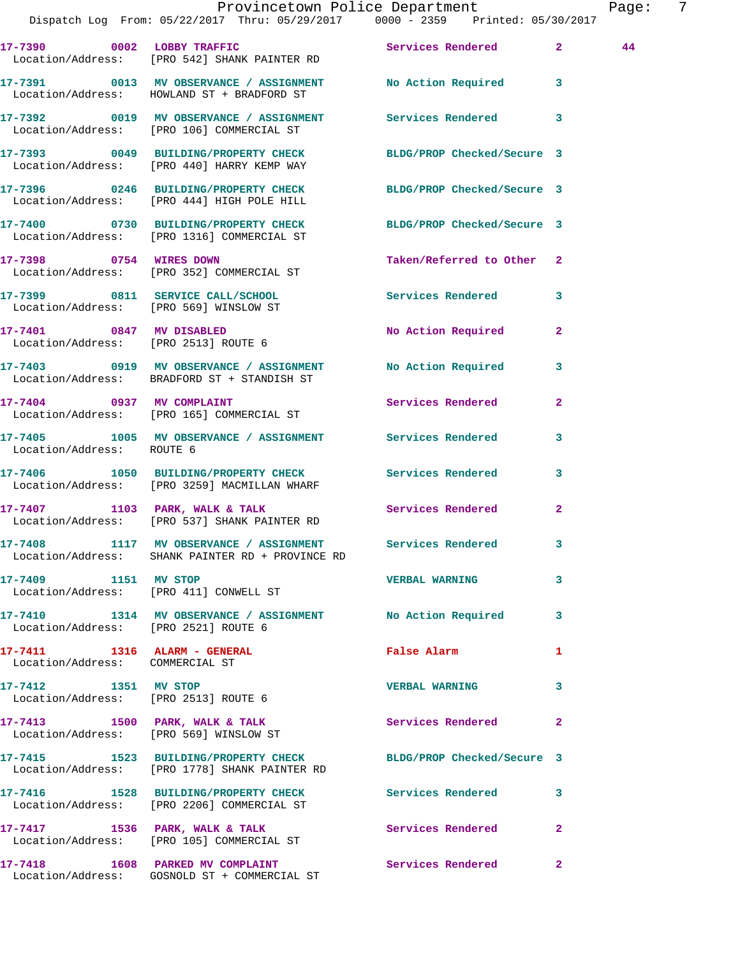|                                                                 | Provincetown Police Department<br>Dispatch Log From: 05/22/2017 Thru: 05/29/2017 0000 - 2359 Printed: 05/30/2017 |                           |                | Page: | - 7 |
|-----------------------------------------------------------------|------------------------------------------------------------------------------------------------------------------|---------------------------|----------------|-------|-----|
|                                                                 | 17-7390 0002 LOBBY TRAFFIC<br>Location/Address: [PRO 542] SHANK PAINTER RD                                       | Services Rendered 2       |                | 44    |     |
|                                                                 | 17-7391 0013 MV OBSERVANCE / ASSIGNMENT No Action Required 3<br>Location/Address: HOWLAND ST + BRADFORD ST       |                           |                |       |     |
|                                                                 | 17-7392 0019 MV OBSERVANCE / ASSIGNMENT Services Rendered 3<br>Location/Address: [PRO 106] COMMERCIAL ST         |                           |                |       |     |
|                                                                 | 17-7393 0049 BUILDING/PROPERTY CHECK BLDG/PROP Checked/Secure 3<br>Location/Address: [PRO 440] HARRY KEMP WAY    |                           |                |       |     |
|                                                                 | 17-7396 0246 BUILDING/PROPERTY CHECK BLDG/PROP Checked/Secure 3<br>Location/Address: [PRO 444] HIGH POLE HILL    |                           |                |       |     |
|                                                                 | 17-7400 0730 BUILDING/PROPERTY CHECK BLDG/PROP Checked/Secure 3<br>Location/Address: [PRO 1316] COMMERCIAL ST    |                           |                |       |     |
|                                                                 | 17-7398 0754 WIRES DOWN<br>Location/Address: [PRO 352] COMMERCIAL ST                                             | Taken/Referred to Other 2 |                |       |     |
|                                                                 | 17-7399 0811 SERVICE CALL/SCHOOL 5 Services Rendered 3<br>Location/Address: [PRO 569] WINSLOW ST                 |                           |                |       |     |
|                                                                 | 17-7401 0847 MV DISABLED<br>Location/Address: [PRO 2513] ROUTE 6                                                 | No Action Required 2      |                |       |     |
|                                                                 | 17-7403 0919 MV OBSERVANCE / ASSIGNMENT No Action Required 3<br>Location/Address: BRADFORD ST + STANDISH ST      |                           |                |       |     |
|                                                                 | 17-7404 0937 MV COMPLAINT<br>Location/Address: [PRO 165] COMMERCIAL ST                                           | Services Rendered         | $\overline{2}$ |       |     |
| Location/Address: ROUTE 6                                       | 17-7405 1005 MV OBSERVANCE / ASSIGNMENT Services Rendered                                                        |                           | 3              |       |     |
|                                                                 | 17-7406 1050 BUILDING/PROPERTY CHECK Services Rendered 3<br>Location/Address: [PRO 3259] MACMILLAN WHARF         |                           |                |       |     |
|                                                                 | 17-7407 1103 PARK, WALK & TALK<br>Location/Address: [PRO 537] SHANK PAINTER RD                                   | Services Rendered 2       |                |       |     |
|                                                                 | 17-7408 1117 MV OBSERVANCE / ASSIGNMENT Services Rendered<br>Location/Address: SHANK PAINTER RD + PROVINCE RD    |                           |                |       |     |
| 17-7409 1151 MV STOP                                            | Location/Address: [PRO 411] CONWELL ST                                                                           | <b>VERBAL WARNING</b>     | $\mathbf{3}$   |       |     |
| Location/Address: [PRO 2521] ROUTE 6                            | 17-7410 1314 MV OBSERVANCE / ASSIGNMENT No Action Required 3                                                     |                           |                |       |     |
| 17-7411 1316 ALARM - GENERAL<br>Location/Address: COMMERCIAL ST |                                                                                                                  | <b>False Alarm</b>        | 1              |       |     |
| 17-7412 1351 MV STOP                                            | Location/Address: [PRO 2513] ROUTE 6                                                                             | <b>VERBAL WARNING</b>     | 3              |       |     |
|                                                                 | 17-7413 1500 PARK, WALK & TALK<br>Location/Address: [PRO 569] WINSLOW ST                                         | Services Rendered         | $\mathbf{2}$   |       |     |
|                                                                 | 17-7415 1523 BUILDING/PROPERTY CHECK BLDG/PROP Checked/Secure 3<br>Location/Address: [PRO 1778] SHANK PAINTER RD |                           |                |       |     |
|                                                                 | 17-7416 1528 BUILDING/PROPERTY CHECK Services Rendered<br>Location/Address: [PRO 2206] COMMERCIAL ST             |                           | 3              |       |     |
|                                                                 | 17-7417 1536 PARK, WALK & TALK<br>Location/Address: [PRO 105] COMMERCIAL ST                                      | Services Rendered         | $\mathbf{2}$   |       |     |
|                                                                 | 17-7418 1608 PARKED MV COMPLAINT The Services Rendered 2                                                         |                           |                |       |     |

Location/Address: GOSNOLD ST + COMMERCIAL ST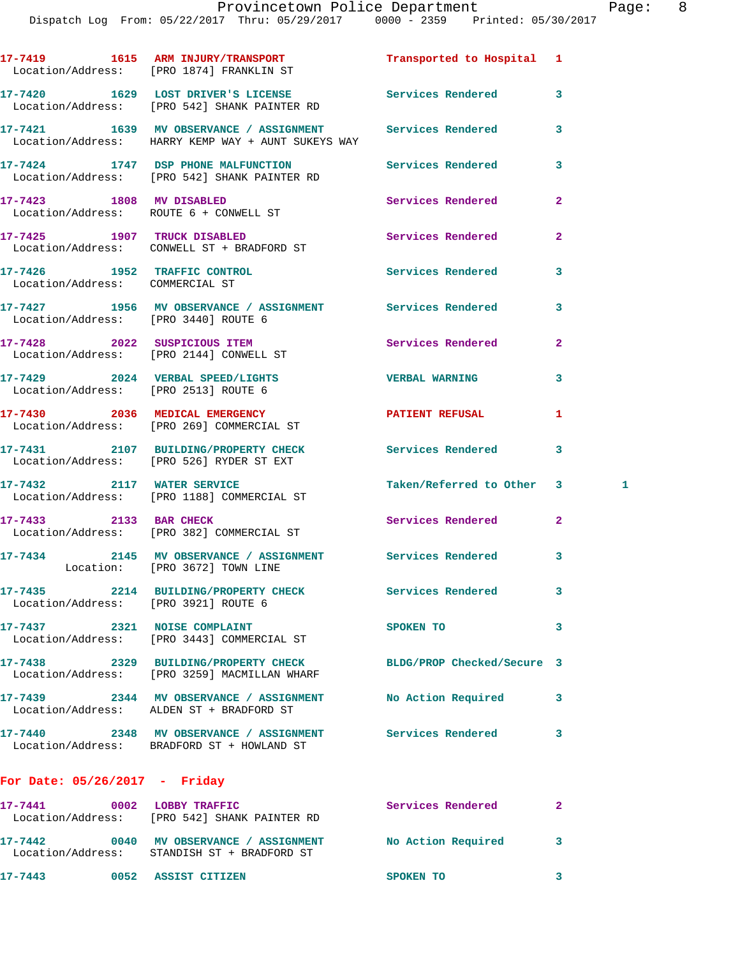**17-7419 1615 ARM INJURY/TRANSPORT Transported to Hospital 1**  Location/Address: [PRO 1874] FRANKLIN ST **17-7420 1629 LOST DRIVER'S LICENSE Services Rendered 3**  Location/Address: [PRO 542] SHANK PAINTER RD **17-7421 1639 MV OBSERVANCE / ASSIGNMENT Services Rendered 3**  Location/Address: HARRY KEMP WAY + AUNT SUKEYS WAY **17-7424 1747 DSP PHONE MALFUNCTION Services Rendered 3**  Location/Address: [PRO 542] SHANK PAINTER RD **17-7423 1808 MV DISABLED Services Rendered 2**  Location/Address: ROUTE 6 + CONWELL ST **17-7425 1907 TRUCK DISABLED Services Rendered 2**  Location/Address: CONWELL ST + BRADFORD ST **17-7426 1952 TRAFFIC CONTROL Services Rendered 3**  Location/Address: COMMERCIAL ST **17-7427 1956 MV OBSERVANCE / ASSIGNMENT Services Rendered 3**  Location/Address: [PRO 3440] ROUTE 6 **17-7428 2022 SUSPICIOUS ITEM Services Rendered 2**  Location/Address: [PRO 2144] CONWELL ST **17-7429 2024 VERBAL SPEED/LIGHTS VERBAL WARNING 3**  Location/Address: [PRO 2513] ROUTE 6 **17-7430 2036 MEDICAL EMERGENCY PATIENT REFUSAL 1**  Location/Address: [PRO 269] COMMERCIAL ST **17-7431 2107 BUILDING/PROPERTY CHECK Services Rendered 3**  Location/Address: [PRO 526] RYDER ST EXT 17-7432 2117 WATER SERVICE **19 CONTRACT Taken/Referred to Other** 3 Location/Address: [PRO 1188] COMMERCIAL ST **17-7433 2133 BAR CHECK Services Rendered 2**  Location/Address: [PRO 382] COMMERCIAL ST **17-7434 2145 MV OBSERVANCE / ASSIGNMENT Services Rendered 3**  Location: [PRO 3672] TOWN LINE **17-7435 2214 BUILDING/PROPERTY CHECK Services Rendered 3**  Location/Address: [PRO 3921] ROUTE 6 **17-7437 2321 NOISE COMPLAINT SPOKEN TO 3**  Location/Address: [PRO 3443] COMMERCIAL ST **17-7438 2329 BUILDING/PROPERTY CHECK BLDG/PROP Checked/Secure 3**  Location/Address: [PRO 3259] MACMILLAN WHARF **17-7439 2344 MV OBSERVANCE / ASSIGNMENT No Action Required 3**  Location/Address: ALDEN ST + BRADFORD ST **17-7440 2348 MV OBSERVANCE / ASSIGNMENT Services Rendered 3**  Location/Address: BRADFORD ST + HOWLAND ST

| 17-7441<br>Location/Address: | 0002 | LOBBY TRAFFIC<br>FPRO 5421 SHANK PAINTER RD             | Services Rendered  |  |
|------------------------------|------|---------------------------------------------------------|--------------------|--|
| 17-7442<br>Location/Address: | 0040 | MV OBSERVANCE / ASSIGNMENT<br>STANDISH ST + BRADFORD ST | No Action Required |  |
| 17-7443                      | 0052 | <b>ASSIST CITIZEN</b>                                   | SPOKEN TO          |  |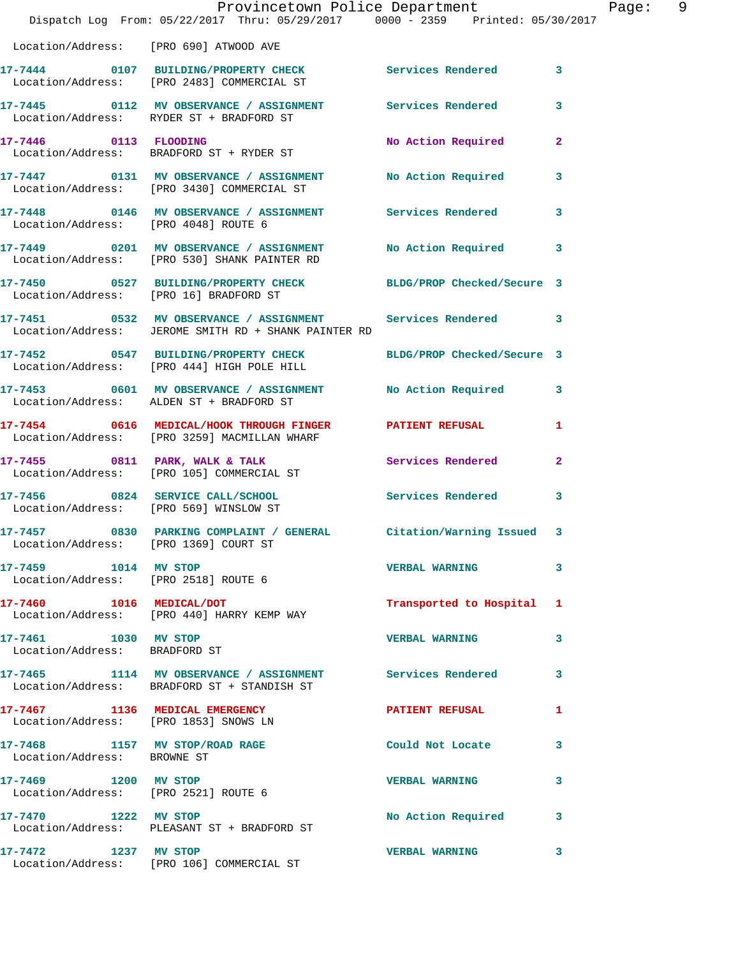|                                                               | Provincetown Police Department<br>Dispatch Log From: 05/22/2017 Thru: 05/29/2017 0000 - 2359 Printed: 05/30/2017  |                            |                |
|---------------------------------------------------------------|-------------------------------------------------------------------------------------------------------------------|----------------------------|----------------|
| Location/Address: [PRO 690] ATWOOD AVE                        |                                                                                                                   |                            |                |
|                                                               | 17-7444 0107 BUILDING/PROPERTY CHECK Services Rendered<br>Location/Address: [PRO 2483] COMMERCIAL ST              |                            | 3              |
|                                                               | 17-7445 0112 MV OBSERVANCE / ASSIGNMENT Services Rendered<br>Location/Address: RYDER ST + BRADFORD ST             |                            | 3              |
| 17-7446 0113 FLOODING                                         | Location/Address: BRADFORD ST + RYDER ST                                                                          | No Action Required         | $\overline{2}$ |
|                                                               | 17-7447 0131 MV OBSERVANCE / ASSIGNMENT<br>Location/Address: [PRO 3430] COMMERCIAL ST                             | No Action Required         | 3              |
| Location/Address: [PRO 4048] ROUTE 6                          | 17-7448 0146 MV OBSERVANCE / ASSIGNMENT Services Rendered                                                         |                            | 3              |
|                                                               | 17-7449 0201 MV OBSERVANCE / ASSIGNMENT<br>Location/Address: [PRO 530] SHANK PAINTER RD                           | No Action Required         | 3              |
|                                                               | 17-7450 0527 BUILDING/PROPERTY CHECK BLDG/PROP Checked/Secure 3<br>Location/Address: [PRO 16] BRADFORD ST         |                            |                |
|                                                               | 17-7451 0532 MV OBSERVANCE / ASSIGNMENT Services Rendered<br>Location/Address: JEROME SMITH RD + SHANK PAINTER RD |                            | 3              |
|                                                               | 17-7452 0547 BUILDING/PROPERTY CHECK<br>Location/Address: [PRO 444] HIGH POLE HILL                                | BLDG/PROP Checked/Secure 3 |                |
|                                                               | 17-7453 0601 MV OBSERVANCE / ASSIGNMENT<br>Location/Address: ALDEN ST + BRADFORD ST                               | No Action Required         | 3              |
|                                                               | 17-7454 0616 MEDICAL/HOOK THROUGH FINGER PATIENT REFUSAL<br>Location/Address: [PRO 3259] MACMILLAN WHARF          |                            | 1              |
|                                                               | 17-7455 0811 PARK, WALK & TALK<br>Location/Address: [PRO 105] COMMERCIAL ST                                       | Services Rendered          | 2              |
|                                                               | 17-7456 0824 SERVICE CALL/SCHOOL Services Rendered<br>Location/Address: [PRO 569] WINSLOW ST                      |                            | 3              |
| Location/Address: [PRO 1369] COURT ST                         | 17-7457 0830 PARKING COMPLAINT / GENERAL Citation/Warning Issued                                                  |                            | 3              |
| 17-7459 1014 MV STOP                                          | Location/Address: [PRO 2518] ROUTE 6                                                                              | <b>VERBAL WARNING</b>      | 3              |
| 17-7460 1016 MEDICAL/DOT                                      | Location/Address: [PRO 440] HARRY KEMP WAY                                                                        | Transported to Hospital    | 1              |
| 17-7461 1030 MV STOP<br>Location/Address: BRADFORD ST         |                                                                                                                   | <b>VERBAL WARNING</b>      | 3              |
|                                                               | 17-7465 1114 MV OBSERVANCE / ASSIGNMENT Services Rendered<br>Location/Address: BRADFORD ST + STANDISH ST          |                            | 3              |
|                                                               | 17-7467 1136 MEDICAL EMERGENCY<br>Location/Address: [PRO 1853] SNOWS LN                                           | <b>PATIENT REFUSAL</b>     | 1              |
| 17-7468 1157 MV STOP/ROAD RAGE<br>Location/Address: BROWNE ST |                                                                                                                   | Could Not Locate           | 3              |
| 17-7469 1200 MV STOP<br>Location/Address: [PRO 2521] ROUTE 6  |                                                                                                                   | <b>VERBAL WARNING</b>      | 3              |
|                                                               | 17-7470 1222 MV STOP<br>Location/Address: PLEASANT ST + BRADFORD ST                                               | No Action Required         | 3              |
| 17-7472 1237 MV STOP                                          | Location/Address: [PRO 106] COMMERCIAL ST                                                                         | <b>VERBAL WARNING</b>      | 3              |

Page: 9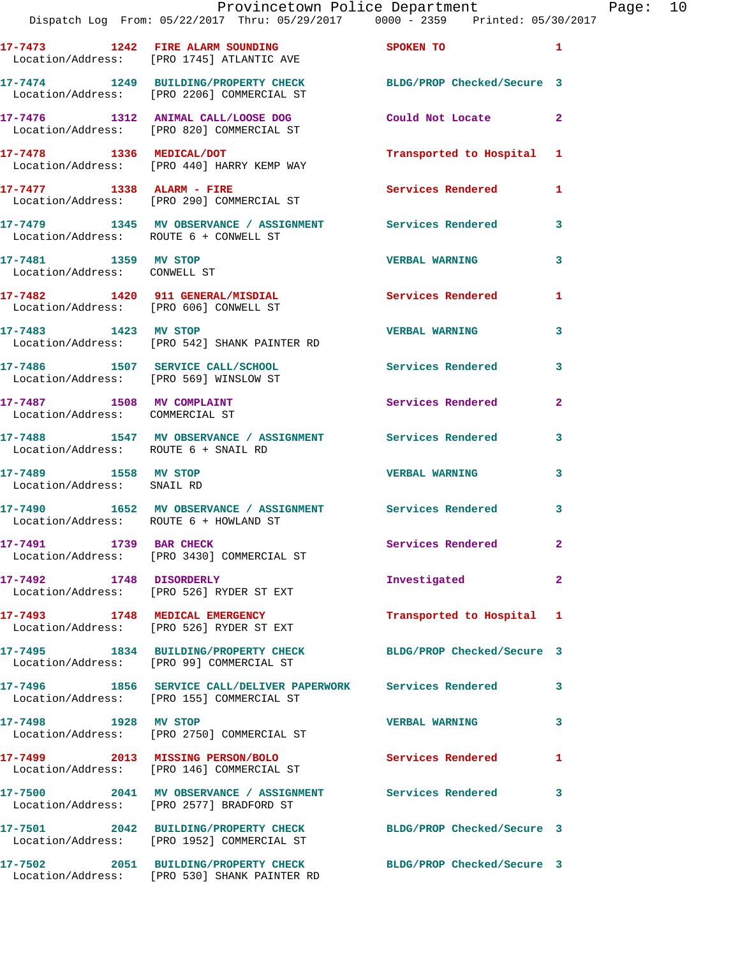|         |      |                            |                                                | Provincetown Police Department |                                 | Page: $10$ |  |
|---------|------|----------------------------|------------------------------------------------|--------------------------------|---------------------------------|------------|--|
|         |      |                            | Dispatch Log From: 05/22/2017 Thru: 05/29/2017 |                                | 0000 - 2359 Printed: 05/30/2017 |            |  |
| 17-7473 | 1242 | <b>DIDD ALADM COUNDING</b> |                                                | CDOVEN TO                      |                                 |            |  |

| Page |  |
|------|--|
|      |  |

|                                                              | 102/601 DISpatch Log From: 05/22/2017 Thru: 05/29/2017 - 0000 - 2359 - Printed: 05                              |                            |                |
|--------------------------------------------------------------|-----------------------------------------------------------------------------------------------------------------|----------------------------|----------------|
|                                                              | 17-7473 1242 FIRE ALARM SOUNDING<br>Location/Address: [PRO 1745] ATLANTIC AVE                                   | <b>SPOKEN TO</b>           | $\mathbf{1}$   |
|                                                              | 17-7474 1249 BUILDING/PROPERTY CHECK<br>Location/Address: [PRO 2206] COMMERCIAL ST                              | BLDG/PROP Checked/Secure 3 |                |
|                                                              | 17-7476 1312 ANIMAL CALL/LOOSE DOG<br>Location/Address: [PRO 820] COMMERCIAL ST                                 | Could Not Locate 2         |                |
|                                                              | 17-7478 1336 MEDICAL/DOT<br>Location/Address: [PRO 440] HARRY KEMP WAY                                          | Transported to Hospital 1  |                |
| $17-7477$ 1338 ALARM - FIRE                                  | Location/Address: [PRO 290] COMMERCIAL ST                                                                       | <b>Services Rendered</b>   | $\mathbf{1}$   |
| Location/Address: ROUTE 6 + CONWELL ST                       | 17-7479 1345 MV OBSERVANCE / ASSIGNMENT Services Rendered                                                       |                            | $\mathbf{3}$   |
| 17-7481 1359 MV STOP<br>Location/Address: CONWELL ST         |                                                                                                                 | <b>VERBAL WARNING</b>      | $\mathbf{3}$   |
| Location/Address: [PRO 606] CONWELL ST                       | 17-7482 1420 911 GENERAL/MISDIAL                                                                                | Services Rendered          | 1              |
| 17-7483 1423 MV STOP                                         | Location/Address: [PRO 542] SHANK PAINTER RD                                                                    | <b>VERBAL WARNING</b>      | 3              |
| Location/Address: [PRO 569] WINSLOW ST                       | 17-7486 1507 SERVICE CALL/SCHOOL                                                                                | <b>Services Rendered</b>   | 3              |
| 17-7487 1508 MV COMPLAINT<br>Location/Address: COMMERCIAL ST |                                                                                                                 | Services Rendered          | $\mathbf{2}$   |
| Location/Address: ROUTE 6 + SNAIL RD                         | 17-7488 1547 MV OBSERVANCE / ASSIGNMENT Services Rendered                                                       |                            | $\mathbf{3}$   |
| 17-7489 1558 MV STOP<br>Location/Address: SNAIL RD           |                                                                                                                 | <b>VERBAL WARNING</b>      | 3              |
| Location/Address: ROUTE 6 + HOWLAND ST                       | 17-7490 1652 MV OBSERVANCE / ASSIGNMENT Services Rendered                                                       |                            | $\mathbf{3}$   |
| 17-7491 1739 BAR CHECK                                       | Location/Address: [PRO 3430] COMMERCIAL ST                                                                      | Services Rendered          | $\mathbf{2}$   |
| 17-7492 1748 DISORDERLY                                      | Location/Address: [PRO 526] RYDER ST EXT                                                                        | Investigated               | $\mathbf{2}$   |
|                                                              | 17-7493 1748 MEDICAL EMERGENCY<br>Location/Address: [PRO 526] RYDER ST EXT                                      | Transported to Hospital 1  |                |
|                                                              | 17-7495 1834 BUILDING/PROPERTY CHECK<br>Location/Address: [PRO 99] COMMERCIAL ST                                | BLDG/PROP Checked/Secure 3 |                |
|                                                              | 17-7496 1856 SERVICE CALL/DELIVER PAPERWORK Services Rendered<br>Location/Address: [PRO 155] COMMERCIAL ST      |                            | $\mathbf{3}$   |
| 17-7498 1928 MV STOP                                         | Location/Address: [PRO 2750] COMMERCIAL ST                                                                      | <b>VERBAL WARNING</b>      | $\overline{3}$ |
|                                                              | 17-7499 2013 MISSING PERSON/BOLO<br>Location/Address: [PRO 146] COMMERCIAL ST                                   | Services Rendered          | $\blacksquare$ |
|                                                              | 17-7500 2041 MV OBSERVANCE / ASSIGNMENT Services Rendered 3<br>Location/Address: [PRO 2577] BRADFORD ST         |                            |                |
|                                                              | 17-7501 2042 BUILDING/PROPERTY CHECK BLDG/PROP Checked/Secure 3<br>Location/Address: [PRO 1952] COMMERCIAL ST   |                            |                |
|                                                              | 17-7502 2051 BUILDING/PROPERTY CHECK BLDG/PROP Checked/Secure 3<br>Location/Address: [PRO 530] SHANK PAINTER RD |                            |                |
|                                                              |                                                                                                                 |                            |                |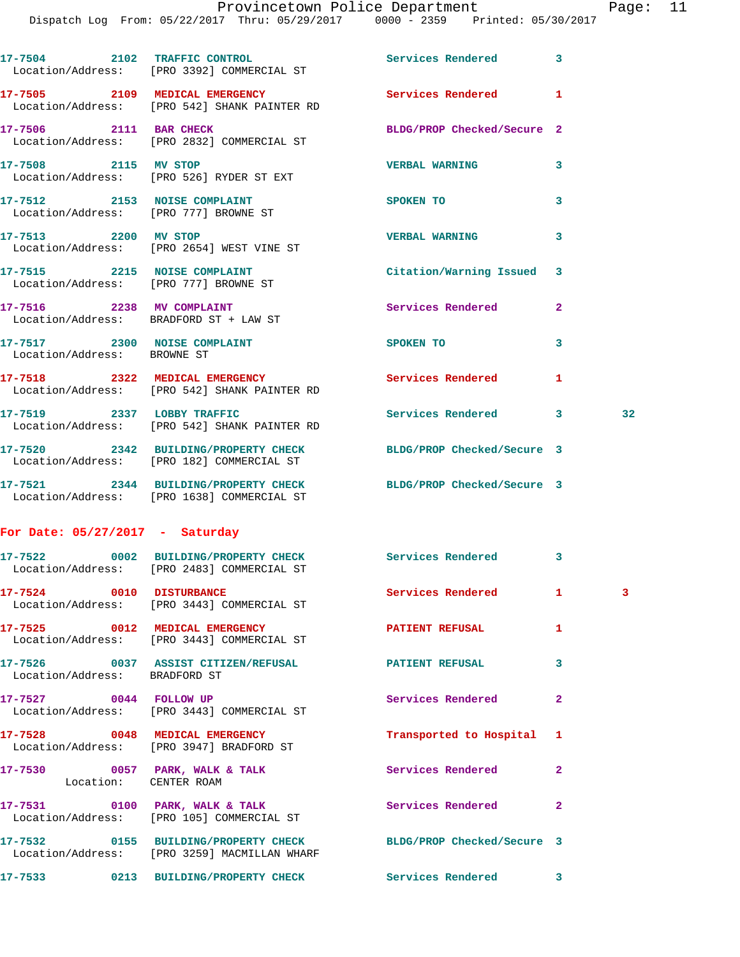|                                   | 17-7504 2102 TRAFFIC CONTROL<br>Location/Address: [PRO 3392] COMMERCIAL ST                                      | Services Rendered           | 3              |    |
|-----------------------------------|-----------------------------------------------------------------------------------------------------------------|-----------------------------|----------------|----|
|                                   | 17-7505 2109 MEDICAL EMERGENCY<br>Location/Address: [PRO 542] SHANK PAINTER RD                                  | Services Rendered           | 1              |    |
| 17-7506 2111 BAR CHECK            | Location/Address: [PRO 2832] COMMERCIAL ST                                                                      | BLDG/PROP Checked/Secure 2  |                |    |
| 17-7508 2115 MV STOP              | Location/Address: [PRO 526] RYDER ST EXT                                                                        | <b>VERBAL WARNING</b>       | 3              |    |
|                                   | 17-7512 2153 NOISE COMPLAINT<br>Location/Address: [PRO 777] BROWNE ST                                           | SPOKEN TO                   | 3              |    |
| 17-7513 2200 MV STOP              | Location/Address: [PRO 2654] WEST VINE ST                                                                       | <b>VERBAL WARNING</b>       | 3              |    |
|                                   | 17-7515 2215 NOISE COMPLAINT<br>Location/Address: [PRO 777] BROWNE ST                                           | Citation/Warning Issued     | 3              |    |
|                                   | 17-7516 2238 MV COMPLAINT<br>Location/Address: BRADFORD ST + LAW ST                                             | Services Rendered           | $\overline{2}$ |    |
| Location/Address: BROWNE ST       | 17-7517 2300 NOISE COMPLAINT                                                                                    | SPOKEN TO NAME OF SPOKEN TO | 3              |    |
|                                   | 17-7518 2322 MEDICAL EMERGENCY<br>Location/Address: [PRO 542] SHANK PAINTER RD                                  | Services Rendered           | 1              |    |
|                                   | 17-7519 2337 LOBBY TRAFFIC<br>Location/Address: [PRO 542] SHANK PAINTER RD                                      | Services Rendered           | $3 -$          | 32 |
|                                   | 17-7520 2342 BUILDING/PROPERTY CHECK<br>Location/Address: [PRO 182] COMMERCIAL ST                               | BLDG/PROP Checked/Secure 3  |                |    |
|                                   | 17-7521 2344 BUILDING/PROPERTY CHECK BLDG/PROP Checked/Secure 3<br>Location/Address: [PRO 1638] COMMERCIAL ST   |                             |                |    |
| For Date: $05/27/2017$ - Saturday |                                                                                                                 |                             |                |    |
|                                   | 17-7522 0002 BUILDING/PROPERTY CHECK Services Rendered<br>Location/Address: [PRO 2483] COMMERCIAL ST            |                             | 3              |    |
| 17-7524 0010 DISTURBANCE          | Location/Address: [PRO 3443] COMMERCIAL ST                                                                      | Services Rendered           | 1.             | 3  |
|                                   | 17-7525 0012 MEDICAL EMERGENCY<br>Location/Address: [PRO 3443] COMMERCIAL ST                                    | <b>PATIENT REFUSAL</b>      | 1              |    |
| Location/Address: BRADFORD ST     | 17-7526 0037 ASSIST CITIZEN/REFUSAL                                                                             | <b>PATIENT REFUSAL</b>      | 3              |    |
| 17-7527 0044 FOLLOW UP            | Location/Address: [PRO 3443] COMMERCIAL ST                                                                      | Services Rendered           | $\mathbf{2}$   |    |
|                                   | 17-7528 0048 MEDICAL EMERGENCY<br>Location/Address: [PRO 3947] BRADFORD ST                                      | Transported to Hospital     | 1              |    |
|                                   | 17-7530 0057 PARK, WALK & TALK<br>Location: CENTER ROAM                                                         | Services Rendered           | $\mathbf{2}$   |    |
|                                   | 17-7531 0100 PARK, WALK & TALK<br>Location/Address: [PRO 105] COMMERCIAL ST                                     | Services Rendered           | $\mathbf{2}$   |    |
|                                   | 17-7532 0155 BUILDING/PROPERTY CHECK BLDG/PROP Checked/Secure 3<br>Location/Address: [PRO 3259] MACMILLAN WHARF |                             |                |    |
|                                   | 17-7533 0213 BUILDING/PROPERTY CHECK                                                                            | Services Rendered 3         |                |    |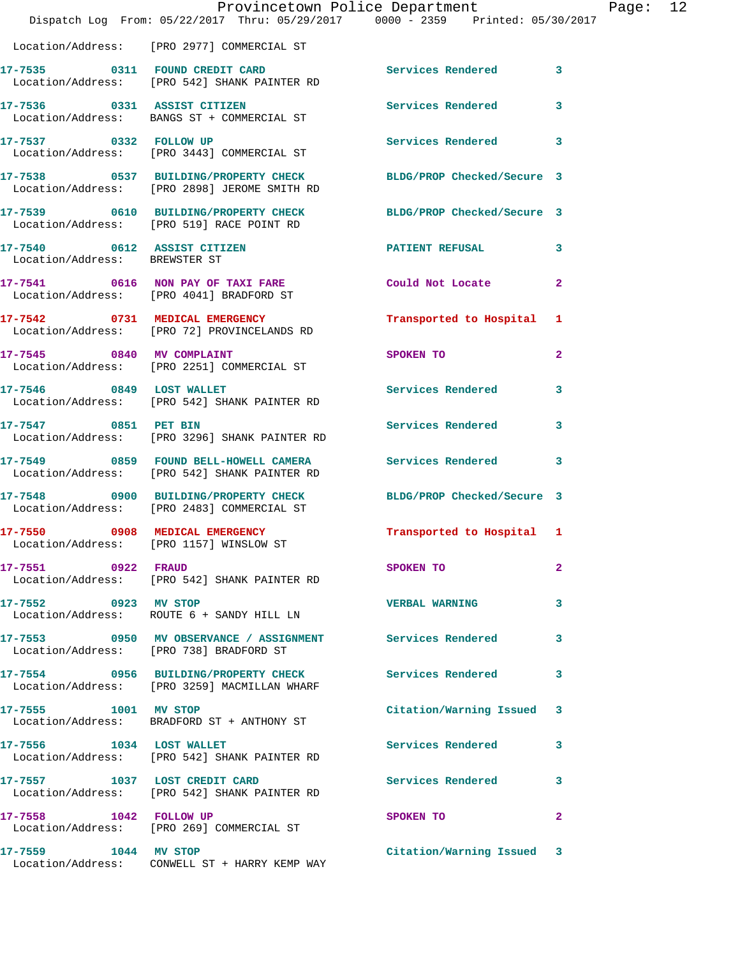|                               | Provincetown Police Department<br>Dispatch Log From: 05/22/2017 Thru: 05/29/2017 0000 - 2359 Printed: 05/30/2017 |                           | Page: $12$   |
|-------------------------------|------------------------------------------------------------------------------------------------------------------|---------------------------|--------------|
|                               | Location/Address: [PRO 2977] COMMERCIAL ST                                                                       |                           |              |
|                               | 17-7535 0311 FOUND CREDIT CARD Services Rendered 3<br>Location/Address: [PRO 542] SHANK PAINTER RD               |                           |              |
|                               | 17-7536 0331 ASSIST CITIZEN<br>Location/Address: BANGS ST + COMMERCIAL ST                                        | Services Rendered 3       |              |
|                               | 17-7537 0332 FOLLOW UP<br>Location/Address: [PRO 3443] COMMERCIAL ST                                             | Services Rendered         | 3            |
|                               | 17-7538 0537 BUILDING/PROPERTY CHECK BLDG/PROP Checked/Secure 3<br>Location/Address: [PRO 2898] JEROME SMITH RD  |                           |              |
|                               | 17-7539 0610 BUILDING/PROPERTY CHECK BLDG/PROP Checked/Secure 3<br>Location/Address: [PRO 519] RACE POINT RD     |                           |              |
| Location/Address: BREWSTER ST | 17-7540 0612 ASSIST CITIZEN <b>PATIENT REFUSAL</b> 3                                                             |                           |              |
|                               | 17-7541 0616 NON PAY OF TAXI FARE Could Not Locate<br>Location/Address: [PRO 4041] BRADFORD ST                   |                           | $\mathbf{2}$ |
|                               | 17-7542 0731 MEDICAL EMERGENCY<br>Location/Address: [PRO 72] PROVINCELANDS RD                                    | Transported to Hospital 1 |              |
|                               | 17-7545 0840 MV COMPLAINT<br>Location/Address: [PRO 2251] COMMERCIAL ST                                          | SPOKEN TO                 | $\mathbf{2}$ |
|                               | 17-7546 0849 LOST WALLET<br>Location/Address: [PRO 542] SHANK PAINTER RD                                         | Services Rendered         | 3            |
|                               | 17-7547 0851 PET BIN<br>Location/Address: [PRO 3296] SHANK PAINTER RD                                            | Services Rendered 3       |              |
|                               | 17-7549 0859 FOUND BELL-HOWELL CAMERA Services Rendered<br>Location/Address: [PRO 542] SHANK PAINTER RD          |                           | 3            |
|                               | 17-7548 0900 BUILDING/PROPERTY CHECK BLDG/PROP Checked/Secure 3<br>Location/Address: [PRO 2483] COMMERCIAL ST    |                           |              |
|                               | Location/Address: [PRO 1157] WINSLOW ST                                                                          | Transported to Hospital 1 |              |
| 17-7551 0922 FRAUD            | Location/Address: [PRO 542] SHANK PAINTER RD                                                                     | SPOKEN TO                 | $\mathbf{2}$ |
| 17-7552 0923 MV STOP          | Location/Address: ROUTE 6 + SANDY HILL LN                                                                        | <b>VERBAL WARNING</b>     | 3            |
|                               | 17-7553 0950 MV OBSERVANCE / ASSIGNMENT Services Rendered<br>Location/Address: [PRO 738] BRADFORD ST             |                           | 3            |
|                               | 17-7554 0956 BUILDING/PROPERTY CHECK<br>Location/Address: [PRO 3259] MACMILLAN WHARF                             | <b>Services Rendered</b>  | 3            |
| 17-7555 1001 MV STOP          | Location/Address: BRADFORD ST + ANTHONY ST                                                                       | Citation/Warning Issued 3 |              |
| 17-7556 1034 LOST WALLET      | Location/Address: [PRO 542] SHANK PAINTER RD                                                                     | Services Rendered         | 3            |
|                               | 17-7557 1037 LOST CREDIT CARD<br>Location/Address: [PRO 542] SHANK PAINTER RD                                    | Services Rendered         | 3            |
| 17-7558 1042 FOLLOW UP        | Location/Address: [PRO 269] COMMERCIAL ST                                                                        | SPOKEN TO                 | $\mathbf{2}$ |
| 17-7559 1044 MV STOP          |                                                                                                                  | Citation/Warning Issued 3 |              |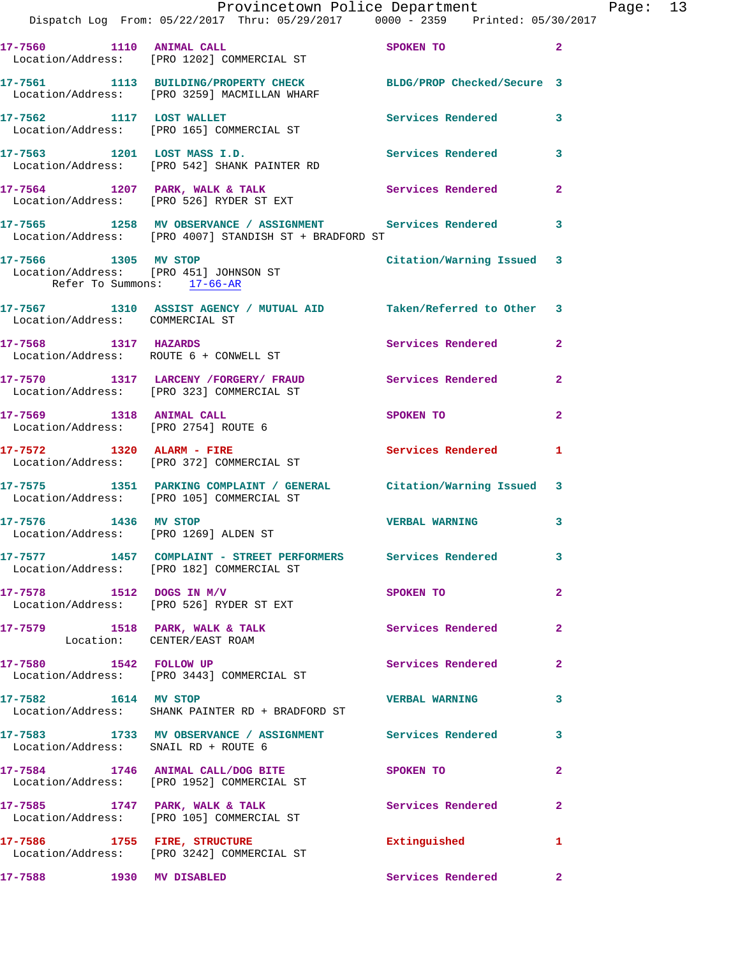|                                      | Provincetown Police Department The Rage: 13<br>Dispatch Log From: 05/22/2017 Thru: 05/29/2017 0000 - 2359 Printed: 05/30/2017 |                                                                                                                 |                |
|--------------------------------------|-------------------------------------------------------------------------------------------------------------------------------|-----------------------------------------------------------------------------------------------------------------|----------------|
|                                      | 17-7560 1110 ANIMAL CALL SPOKEN TO<br>Location/Address: [PRO 1202] COMMERCIAL ST                                              |                                                                                                                 | $\mathbf{2}$   |
|                                      | 17-7561 1113 BUILDING/PROPERTY CHECK BLDG/PROP Checked/Secure 3<br>Location/Address: [PRO 3259] MACMILLAN WHARF               |                                                                                                                 |                |
|                                      | 17-7562 1117 LOST WALLET<br>Location/Address: [PRO 165] COMMERCIAL ST                                                         | Services Rendered 3                                                                                             |                |
|                                      | 17-7563 1201 LOST MASS I.D. Services Rendered 3<br>Location/Address: [PRO 542] SHANK PAINTER RD                               |                                                                                                                 |                |
|                                      | 17-7564 1207 PARK, WALK & TALK (Services Rendered Location/Address: [PRO 526] RYDER ST EXT                                    |                                                                                                                 | $\mathbf{2}$   |
|                                      | 17-7565 1258 MV OBSERVANCE / ASSIGNMENT Services Rendered<br>Location/Address: [PRO 4007] STANDISH ST + BRADFORD ST           |                                                                                                                 | 3              |
| Refer To Summons: 17-66-AR           | 17-7566 1305 MV STOP<br>Location/Address: [PRO 451] JOHNSON ST                                                                | Citation/Warning Issued 3                                                                                       |                |
| Location/Address: COMMERCIAL ST      | 17-7567 1310 ASSIST AGENCY / MUTUAL AID Taken/Referred to Other 3                                                             |                                                                                                                 |                |
| 17-7568 1317 HAZARDS                 | Location/Address: ROUTE 6 + CONWELL ST                                                                                        | Services Rendered                                                                                               | $\mathbf{2}$   |
|                                      | 17-7570 1317 LARCENY FORGERY FRAUD Services Rendered<br>Location/Address: [PRO 323] COMMERCIAL ST                             |                                                                                                                 | $\mathbf{2}$   |
| 17-7569 1318 ANIMAL CALL             | Location/Address: [PRO 2754] ROUTE 6                                                                                          | SPOKEN TO THE STRIKE STRIKE STRIKE STRIKE STRIKE STRIKE STRIKE STRIKE STRIKE STRIKE STRIKE STRIKE STRIKE STRIKE | $\overline{a}$ |
|                                      | 17-7572 1320 ALARM - FIRE<br>Location/Address: [PRO 372] COMMERCIAL ST                                                        | Services Rendered 1                                                                                             |                |
|                                      | 17-7575 1351 PARKING COMPLAINT / GENERAL Citation/Warning Issued 3<br>Location/Address: [PRO 105] COMMERCIAL ST               |                                                                                                                 |                |
|                                      | 17-7576 1436 MV STOP<br>Location/Address: [PRO 1269] ALDEN ST                                                                 | <b>VERBAL WARNING</b>                                                                                           | 3              |
|                                      | 17-7577 1457 COMPLAINT - STREET PERFORMERS Services Rendered 3<br>Location/Address: [PRO 182] COMMERCIAL ST                   |                                                                                                                 |                |
|                                      | $17 - 7578$ 1512 DOGS IN M/V<br>Location/Address: [PRO 526] RYDER ST EXT                                                      | SPOKEN TO                                                                                                       | $\mathbf{2}$   |
|                                      | 17-7579 1518 PARK, WALK & TALK 1999 Services Rendered<br>Location: CENTER/EAST ROAM                                           |                                                                                                                 | $\mathbf{2}$   |
|                                      | 17-7580 1542 FOLLOW UP<br>Location/Address: [PRO 3443] COMMERCIAL ST                                                          | <b>Services Rendered</b>                                                                                        | $\mathbf{2}$   |
| 17-7582 1614 MV STOP                 | Location/Address: SHANK PAINTER RD + BRADFORD ST                                                                              | <b>VERBAL WARNING</b>                                                                                           | 3              |
| Location/Address: SNAIL RD + ROUTE 6 | 17-7583 1733 MV OBSERVANCE / ASSIGNMENT Services Rendered                                                                     |                                                                                                                 | 3              |
|                                      | 17-7584 1746 ANIMAL CALL/DOG BITE SPOKEN TO<br>Location/Address: [PRO 1952] COMMERCIAL ST                                     |                                                                                                                 | $\overline{2}$ |
|                                      |                                                                                                                               | Services Rendered                                                                                               | $\mathbf{2}$   |
| 17-7586 1755 FIRE, STRUCTURE         | Location/Address: [PRO 3242] COMMERCIAL ST                                                                                    | Extinguished                                                                                                    | 1              |
|                                      |                                                                                                                               | Services Rendered                                                                                               | $\mathbf{2}$   |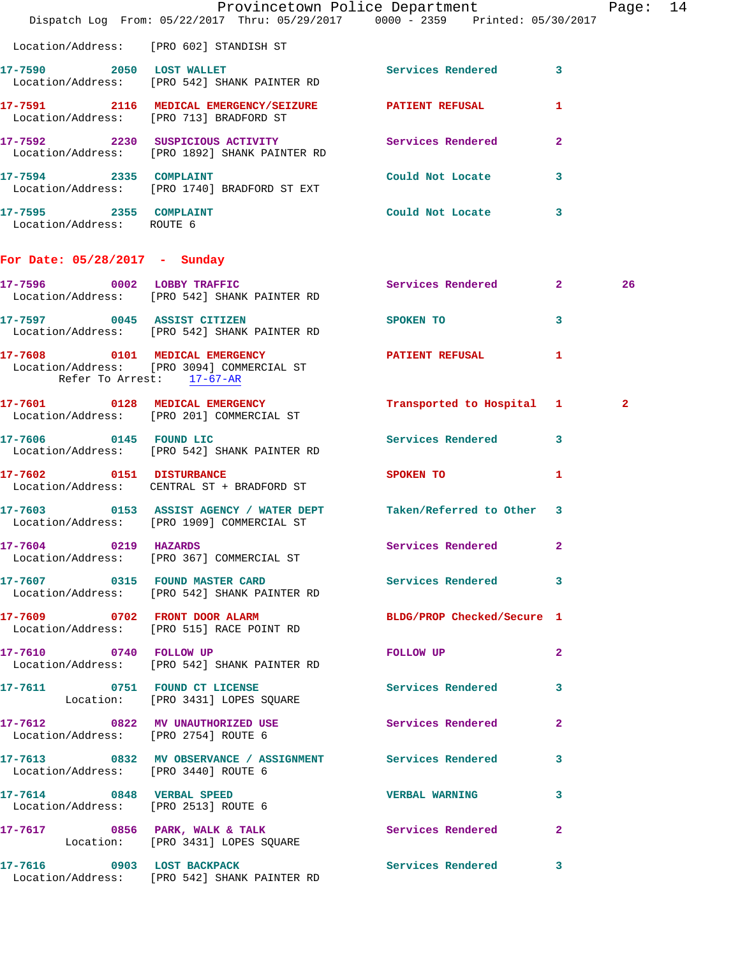|                                                     | Dispatch Log From: 05/22/2017 Thru: 05/29/2017 0000 - 2359 Printed: 05/30/2017                                  | Provincetown Police Department                                                                                 |              | Page: 14     |  |
|-----------------------------------------------------|-----------------------------------------------------------------------------------------------------------------|----------------------------------------------------------------------------------------------------------------|--------------|--------------|--|
|                                                     | Location/Address: [PRO 602] STANDISH ST                                                                         |                                                                                                                |              |              |  |
|                                                     | 17-7590 2050 LOST WALLET<br>Location/Address: [PRO 542] SHANK PAINTER RD                                        | Services Rendered 3                                                                                            |              |              |  |
|                                                     | 17-7591 2116 MEDICAL EMERGENCY/SEIZURE PATIENT REFUSAL<br>Location/Address: [PRO 713] BRADFORD ST               |                                                                                                                | 1            |              |  |
|                                                     | 17-7592 2230 SUSPICIOUS ACTIVITY Services Rendered<br>Location/Address: [PRO 1892] SHANK PAINTER RD             |                                                                                                                | $\mathbf{2}$ |              |  |
|                                                     | 17-7594 2335 COMPLAINT<br>Location/Address: [PRO 1740] BRADFORD ST EXT                                          | Could Not Locate                                                                                               | $\mathbf{3}$ |              |  |
| 17-7595 2355 COMPLAINT<br>Location/Address: ROUTE 6 |                                                                                                                 | Could Not Locate                                                                                               | $\mathbf{3}$ |              |  |
| For Date: 05/28/2017 - Sunday                       |                                                                                                                 |                                                                                                                |              |              |  |
|                                                     | 17-7596 0002 LOBBY TRAFFIC<br>Location/Address: [PRO 542] SHANK PAINTER RD                                      | Services Rendered 2                                                                                            |              | 26           |  |
|                                                     | 17-7597 0045 ASSIST CITIZEN<br>Location/Address: [PRO 542] SHANK PAINTER RD                                     | SPOKEN TO                                                                                                      | $\mathbf{3}$ |              |  |
| Refer To Arrest: 17-67-AR                           | 17-7608 0101 MEDICAL EMERGENCY<br>Location/Address: [PRO 3094] COMMERCIAL ST                                    | PATIENT REFUSAL                                                                                                | 1            |              |  |
|                                                     | 17-7601 0128 MEDICAL EMERGENCY<br>Location/Address: [PRO 201] COMMERCIAL ST                                     | Transported to Hospital 1                                                                                      |              | $\mathbf{2}$ |  |
|                                                     | 17-7606 0145 FOUND LIC<br>Location/Address: [PRO 542] SHANK PAINTER RD                                          | Services Rendered 3                                                                                            |              |              |  |
| 17-7602 0151 DISTURBANCE                            | Location/Address: CENTRAL ST + BRADFORD ST                                                                      | SPOKEN TO AND TO A REAL PROPERTY OF THE STATE OF THE STATE OF THE STATE OF THE STATE OF THE STATE OF THE STATE | 1            |              |  |
|                                                     | 17-7603 0153 ASSIST AGENCY / WATER DEPT Taken/Referred to Other 3<br>Location/Address: [PRO 1909] COMMERCIAL ST |                                                                                                                |              |              |  |
|                                                     | 17-7604 0219 HAZARDS<br>Location/Address: [PRO 367] COMMERCIAL ST                                               | Services Rendered 2                                                                                            |              |              |  |
|                                                     | 17-7607 0315 FOUND MASTER CARD Services Rendered 3<br>Location/Address: [PRO 542] SHANK PAINTER RD              |                                                                                                                |              |              |  |
|                                                     | 17-7609 0702 FRONT DOOR ALARM<br>Location/Address: [PRO 515] RACE POINT RD                                      | BLDG/PROP Checked/Secure 1                                                                                     |              |              |  |
|                                                     | 17-7610 0740 FOLLOW UP<br>Location/Address: [PRO 542] SHANK PAINTER RD                                          | FOLLOW UP                                                                                                      | $\mathbf{2}$ |              |  |
|                                                     | 17-7611 0751 FOUND CT LICENSE<br>Location: [PRO 3431] LOPES SQUARE                                              | Services Rendered 3                                                                                            |              |              |  |
| Location/Address: [PRO 2754] ROUTE 6                | 17-7612 0822 MV UNAUTHORIZED USE Services Rendered                                                              |                                                                                                                | $\mathbf{2}$ |              |  |
| Location/Address: [PRO 3440] ROUTE 6                | 17-7613 0832 MV OBSERVANCE / ASSIGNMENT Services Rendered 3                                                     |                                                                                                                |              |              |  |
| Location/Address: [PRO 2513] ROUTE 6                | 17-7614 0848 VERBAL SPEED                                                                                       | <b>VERBAL WARNING</b>                                                                                          | 3            |              |  |
|                                                     | 17-7617 0856 PARK, WALK & TALK Services Rendered<br>Location: [PRO 3431] LOPES SQUARE                           |                                                                                                                | $\mathbf{2}$ |              |  |
|                                                     | 17-7616 0903 LOST BACKPACK<br>Location/Address: [PRO 542] SHANK PAINTER RD                                      | Services Rendered 3                                                                                            |              |              |  |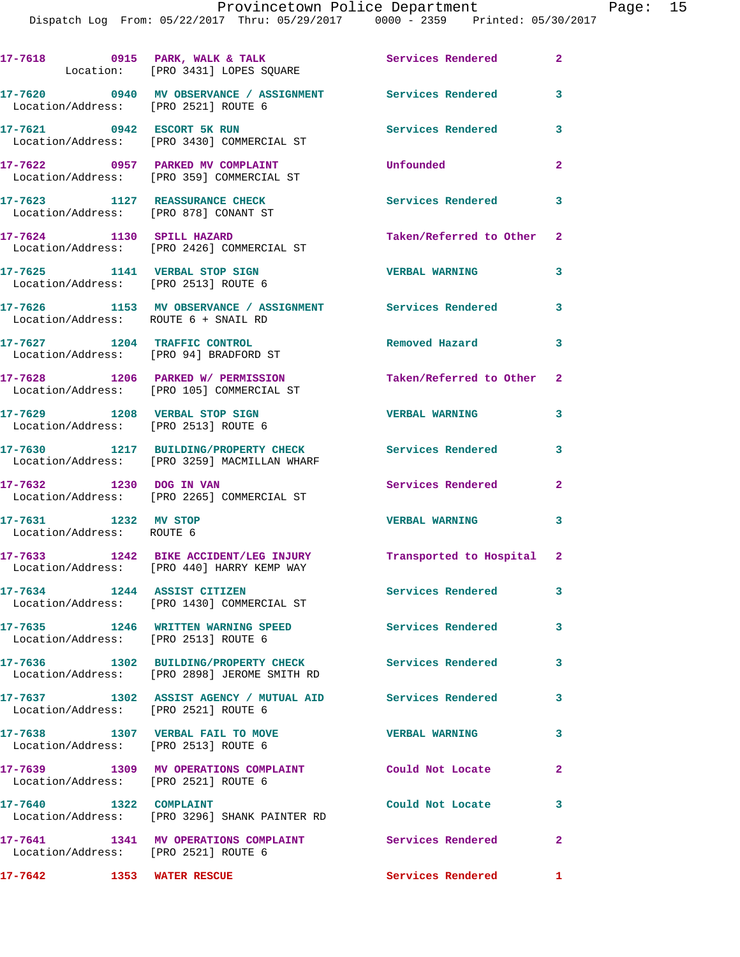|                                                   | 17-7618 0915 PARK, WALK & TALK Services Rendered<br>Location: [PRO 3431] LOPES SQUARE                         |                           | $\overline{2}$          |
|---------------------------------------------------|---------------------------------------------------------------------------------------------------------------|---------------------------|-------------------------|
|                                                   | 17-7620 0940 MV OBSERVANCE / ASSIGNMENT Services Rendered<br>Location/Address: [PRO 2521] ROUTE 6             |                           | 3                       |
|                                                   | 17-7621 0942 ESCORT 5K RUN<br>Location/Address: [PRO 3430] COMMERCIAL ST                                      | <b>Services Rendered</b>  | 3                       |
|                                                   | 17-7622 0957 PARKED MV COMPLAINT<br>Location/Address: [PRO 359] COMMERCIAL ST                                 | Unfounded                 | $\overline{2}$          |
|                                                   | 17-7623 1127 REASSURANCE CHECK<br>Location/Address: [PRO 878] CONANT ST                                       | <b>Services Rendered</b>  | $\mathbf{3}$            |
|                                                   | 17-7624 1130 SPILL HAZARD<br>Location/Address: [PRO 2426] COMMERCIAL ST                                       | Taken/Referred to Other 2 |                         |
|                                                   | 17-7625 1141 VERBAL STOP SIGN<br>Location/Address: [PRO 2513] ROUTE 6                                         | <b>VERBAL WARNING</b>     | 3                       |
|                                                   | 17-7626 1153 MV OBSERVANCE / ASSIGNMENT Services Rendered 3<br>Location/Address: ROUTE 6 + SNAIL RD           |                           |                         |
|                                                   | 17-7627 1204 TRAFFIC CONTROL<br>Location/Address: [PRO 94] BRADFORD ST                                        | Removed Hazard            | 3                       |
|                                                   | 17-7628 1206 PARKED W/ PERMISSION<br>Location/Address: [PRO 105] COMMERCIAL ST                                | Taken/Referred to Other 2 |                         |
|                                                   | 17-7629 1208 VERBAL STOP SIGN<br>Location/Address: [PRO 2513] ROUTE 6                                         | <b>VERBAL WARNING</b>     | 3                       |
|                                                   | 17-7630 1217 BUILDING/PROPERTY CHECK<br>Location/Address: [PRO 3259] MACMILLAN WHARF                          | <b>Services Rendered</b>  | $\overline{\mathbf{3}}$ |
|                                                   | 17-7632 1230 DOG IN VAN<br>Location/Address: [PRO 2265] COMMERCIAL ST                                         | Services Rendered         | $\mathbf{2}$            |
| 17-7631 1232 MV STOP<br>Location/Address: ROUTE 6 |                                                                                                               | <b>VERBAL WARNING</b>     | 3                       |
|                                                   | 17-7633 1242 BIKE ACCIDENT/LEG INJURY Transported to Hospital 2<br>Location/Address: [PRO 440] HARRY KEMP WAY |                           |                         |
|                                                   | 17-7634 1244 ASSIST CITIZEN<br>Location/Address: [PRO 1430] COMMERCIAL ST                                     | <b>Services Rendered</b>  | 3                       |
|                                                   | 17-7635 1246 WRITTEN WARNING SPEED<br>Location/Address: [PRO 2513] ROUTE 6                                    | <b>Services Rendered</b>  | $\mathbf{3}$            |
|                                                   | 17-7636 1302 BUILDING/PROPERTY CHECK Services Rendered 3<br>Location/Address: [PRO 2898] JEROME SMITH RD      |                           |                         |
|                                                   | 17-7637 1302 ASSIST AGENCY / MUTUAL AID Services Rendered<br>Location/Address: [PRO 2521] ROUTE 6             |                           | 3                       |
|                                                   | 17-7638 1307 VERBAL FAIL TO MOVE<br>Location/Address: [PRO 2513] ROUTE 6                                      | <b>VERBAL WARNING</b>     | 3                       |
|                                                   | 17-7639 1309 MV OPERATIONS COMPLAINT<br>Location/Address: [PRO 2521] ROUTE 6                                  | Could Not Locate          | $\overline{2}$          |
| 17-7640 1322 COMPLAINT                            | Location/Address: [PRO 3296] SHANK PAINTER RD                                                                 | Could Not Locate          | 3                       |
|                                                   | 17-7641 1341 MV OPERATIONS COMPLAINT<br>Location/Address: [PRO 2521] ROUTE 6                                  | Services Rendered         | $\overline{\mathbf{2}}$ |
|                                                   | 17-7642 1353 WATER RESCUE                                                                                     | <b>Services Rendered</b>  | $\mathbf{1}$            |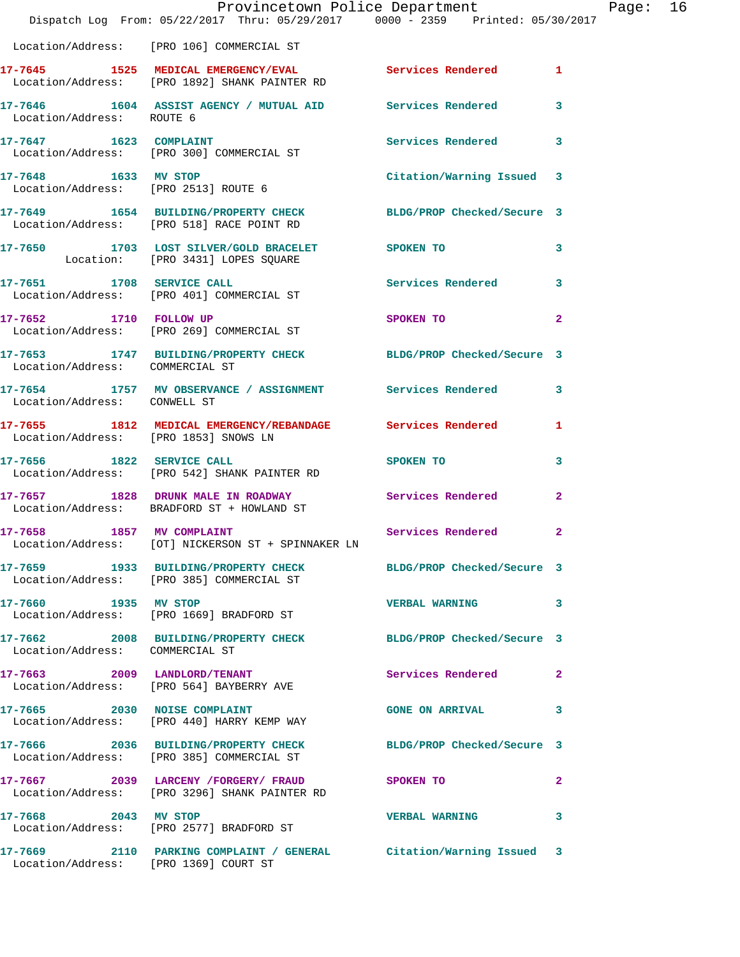|                                       | Dispatch Log From: 05/22/2017 Thru: 05/29/2017 0000 - 2359 Printed: 05/30/2017                               | Provincetown Police Department |              | Page: $16$ |  |
|---------------------------------------|--------------------------------------------------------------------------------------------------------------|--------------------------------|--------------|------------|--|
|                                       | Location/Address: [PRO 106] COMMERCIAL ST                                                                    |                                |              |            |  |
|                                       | 17-7645 1525 MEDICAL EMERGENCY/EVAL Services Rendered 1<br>Location/Address: [PRO 1892] SHANK PAINTER RD     |                                |              |            |  |
| Location/Address: ROUTE 6             | 17-7646 1604 ASSIST AGENCY / MUTUAL AID Services Rendered 3                                                  |                                |              |            |  |
|                                       | 17-7647 1623 COMPLAINT<br>Location/Address: [PRO 300] COMMERCIAL ST                                          | Services Rendered 3            |              |            |  |
|                                       | 17-7648 1633 MV STOP<br>Location/Address: [PRO 2513] ROUTE 6                                                 | Citation/Warning Issued 3      |              |            |  |
|                                       | 17-7649 1654 BUILDING/PROPERTY CHECK BLDG/PROP Checked/Secure 3<br>Location/Address: [PRO 518] RACE POINT RD |                                |              |            |  |
|                                       | 17-7650 1703 LOST SILVER/GOLD BRACELET SPOKEN TO<br>Location: [PRO 3431] LOPES SQUARE                        |                                | 3            |            |  |
| 17-7651 1708 SERVICE CALL             | Location/Address: [PRO 401] COMMERCIAL ST                                                                    | Services Rendered 3            |              |            |  |
|                                       | 17-7652 1710 FOLLOW UP<br>Location/Address: [PRO 269] COMMERCIAL ST                                          | SPOKEN TO                      | 2            |            |  |
|                                       | 17-7653 1747 BUILDING/PROPERTY CHECK BLDG/PROP Checked/Secure 3<br>Location/Address: COMMERCIAL ST           |                                |              |            |  |
|                                       | 17-7654 1757 MV OBSERVANCE / ASSIGNMENT Services Rendered 3<br>Location/Address: CONWELL ST                  |                                |              |            |  |
| Location/Address: [PRO 1853] SNOWS LN | 17-7655 1812 MEDICAL EMERGENCY/REBANDAGE Services Rendered                                                   |                                | 1            |            |  |
|                                       | 17-7656 1822 SERVICE CALL<br>Location/Address: [PRO 542] SHANK PAINTER RD                                    | SPOKEN TO                      | 3            |            |  |
|                                       | 17-7657 1828 DRUNK MALE IN ROADWAY Services Rendered<br>Location/Address: BRADFORD ST + HOWLAND ST           |                                | $\mathbf{2}$ |            |  |
| 17-7658 1857 MV COMPLAINT             | Location/Address: [OT] NICKERSON ST + SPINNAKER LN                                                           | Services Rendered 2            |              |            |  |
|                                       | 17-7659 1933 BUILDING/PROPERTY CHECK BLDG/PROP Checked/Secure 3<br>Location/Address: [PRO 385] COMMERCIAL ST |                                |              |            |  |
|                                       | 17-7660 1935 MV STOP<br>Location/Address: [PRO 1669] BRADFORD ST                                             | VERBAL WARNING 3               |              |            |  |
| Location/Address: COMMERCIAL ST       | 17-7662 2008 BUILDING/PROPERTY CHECK BLDG/PROP Checked/Secure 3                                              |                                |              |            |  |
|                                       | 17-7663 2009 LANDLORD/TENANT<br>Location/Address: [PRO 564] BAYBERRY AVE                                     | Services Rendered              | 2            |            |  |
|                                       | 17-7665 2030 NOISE COMPLAINT<br>Location/Address: [PRO 440] HARRY KEMP WAY                                   | <b>GONE ON ARRIVAL</b>         | 3            |            |  |
|                                       | 17-7666 2036 BUILDING/PROPERTY CHECK BLDG/PROP Checked/Secure 3 Location/Address: [PRO 385] COMMERCIAL ST    |                                |              |            |  |
|                                       | 17-7667 2039 LARCENY / FORGERY / FRAUD SPOKEN TO<br>Location/Address: [PRO 3296] SHANK PAINTER RD            |                                | 2            |            |  |
|                                       | 17-7668 2043 MV STOP<br>Location/Address: [PRO 2577] BRADFORD ST                                             | <b>VERBAL WARNING</b>          | 3            |            |  |
|                                       | 17-7669 2110 PARKING COMPLAINT / GENERAL Citation/Warning Issued 3<br>Location/Address: [PRO 1369] COURT ST  |                                |              |            |  |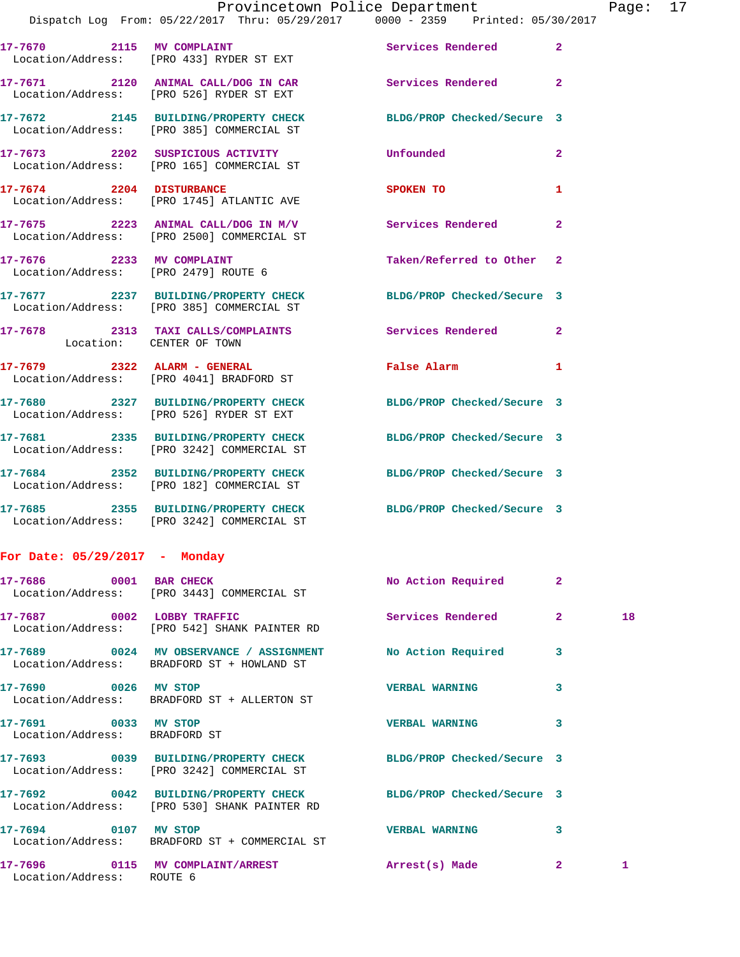| 17-7670 2115 MV COMPLAINT    | Location/Address: [PRO 433] RYDER ST EXT                                                                     | Services Rendered 2                    |                |
|------------------------------|--------------------------------------------------------------------------------------------------------------|----------------------------------------|----------------|
|                              | 17-7671 2120 ANIMAL CALL/DOG IN CAR<br>Location/Address: [PRO 526] RYDER ST EXT                              | <b>Services Rendered</b>               | $\overline{2}$ |
|                              | 17-7672 2145 BUILDING/PROPERTY CHECK<br>Location/Address: [PRO 385] COMMERCIAL ST                            | BLDG/PROP Checked/Secure 3             |                |
|                              | 17-7673 2202 SUSPICIOUS ACTIVITY<br>Location/Address: [PRO 165] COMMERCIAL ST                                | Unfounded                              | $\overline{2}$ |
| 17-7674 2204 DISTURBANCE     | Location/Address: [PRO 1745] ATLANTIC AVE                                                                    | SPOKEN TO                              | 1              |
|                              | $17-7675$ 2223 ANIMAL CALL/DOG IN M/V<br>Location/Address: [PRO 2500] COMMERCIAL ST                          | Services Rendered                      | $\overline{2}$ |
| 17-7676 2233 MV COMPLAINT    | Location/Address: [PRO 2479] ROUTE 6                                                                         | Taken/Referred to Other 2              |                |
|                              | 17-7677 2237 BUILDING/PROPERTY CHECK BLDG/PROP Checked/Secure 3<br>Location/Address: [PRO 385] COMMERCIAL ST |                                        |                |
| Location: CENTER OF TOWN     | 17-7678 2313 TAXI CALLS/COMPLAINTS                                                                           | <b>Services Rendered 22 Services</b> 2 |                |
| 17-7679 2322 ALARM - GENERAL | Location/Address: [PRO 4041] BRADFORD ST                                                                     | False Alarm                            | $\mathbf{1}$   |
|                              | 17-7680 2327 BUILDING/PROPERTY CHECK<br>Location/Address: [PRO 526] RYDER ST EXT                             | BLDG/PROP Checked/Secure 3             |                |
|                              | 17-7681 2335 BUILDING/PROPERTY CHECK<br>Location/Address: [PRO 3242] COMMERCIAL ST                           | BLDG/PROP Checked/Secure 3             |                |
|                              | 17-7684 2352 BUILDING/PROPERTY CHECK<br>Location/Address: [PRO 182] COMMERCIAL ST                            | BLDG/PROP Checked/Secure 3             |                |
|                              | 17-7685 2355 BUILDING/PROPERTY CHECK<br>Location/Address: [PRO 3242] COMMERCIAL ST                           | BLDG/PROP Checked/Secure 3             |                |
|                              |                                                                                                              |                                        |                |

## **For Date: 05/29/2017 - Monday**

|                                                       | 17-7686 0001 BAR CHECK<br>Location/Address: [PRO 3443] COMMERCIAL ST                                                   | No Action Required 2  |                         |              |
|-------------------------------------------------------|------------------------------------------------------------------------------------------------------------------------|-----------------------|-------------------------|--------------|
|                                                       | Location/Address: [PRO 542] SHANK PAINTER RD                                                                           |                       | $\overline{2}$          | 18           |
|                                                       | 17-7689       0024   MV OBSERVANCE / ASSIGNMENT       No Action Required<br>Location/Address: BRADFORD ST + HOWLAND ST |                       | $\overline{\mathbf{3}}$ |              |
|                                                       | 17-7690 0026 MV STOP<br>Location/Address: BRADFORD ST + ALLERTON ST                                                    | <b>VERBAL WARNING</b> | 3                       |              |
| 17-7691 0033 MV STOP<br>Location/Address: BRADFORD ST |                                                                                                                        | <b>VERBAL WARNING</b> | $\overline{\mathbf{3}}$ |              |
|                                                       | Location/Address: [PRO 3242] COMMERCIAL ST                                                                             |                       |                         |              |
|                                                       | 17-7692 0042 BUILDING/PROPERTY CHECK BLDG/PROP Checked/Secure 3<br>Location/Address: [PRO 530] SHANK PAINTER RD        |                       |                         |              |
|                                                       | 17-7694 0107 MV STOP<br>Location/Address: BRADFORD ST + COMMERCIAL ST                                                  | <b>VERBAL WARNING</b> | 3                       |              |
| Location/Address: ROUTE 6                             | 17-7696       0115   MV COMPLAINT/ARREST            Arrest(s) Made                                                     |                       | $\overline{2}$          | $\mathbf{1}$ |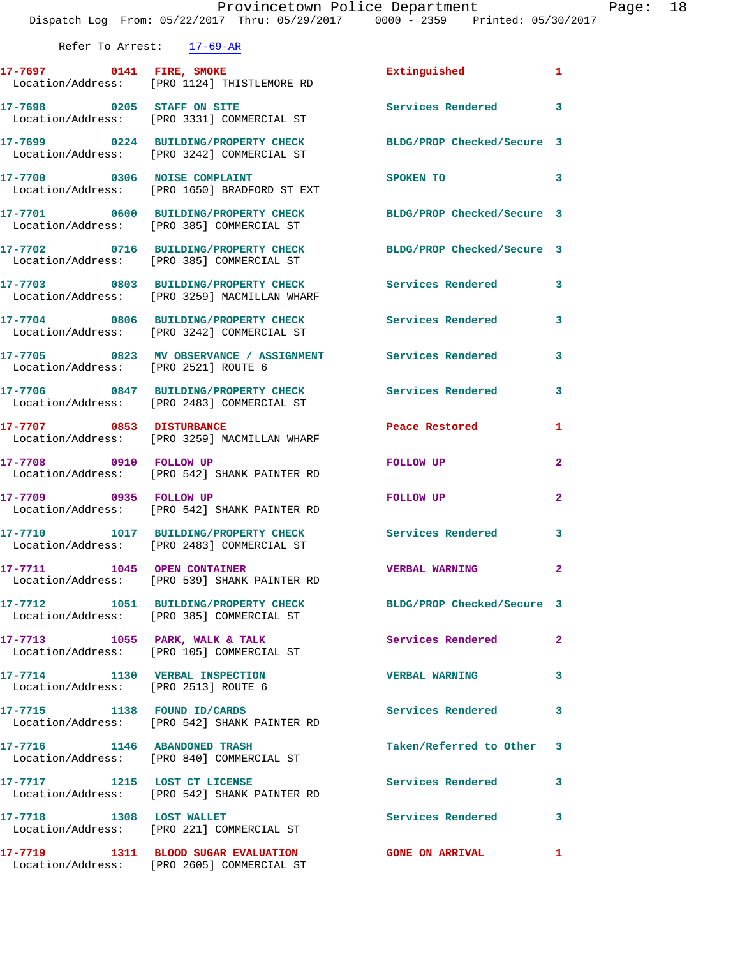|                                      | Dispatch Log From: 05/22/2017 Thru: 05/29/2017 0000 - 2359 Printed: 05/30/2017                                |                            |              |
|--------------------------------------|---------------------------------------------------------------------------------------------------------------|----------------------------|--------------|
| Refer To Arrest: 17-69-AR            |                                                                                                               |                            |              |
|                                      | 17-7697 0141 FIRE, SMOKE                                                                                      | Extinguished 1             |              |
|                                      | Location/Address: [PRO 1124] THISTLEMORE RD                                                                   |                            |              |
|                                      | 17-7698 0205 STAFF ON SITE<br>Location/Address: [PRO 3331] COMMERCIAL ST                                      | Services Rendered 3        |              |
|                                      | 17-7699 0224 BUILDING/PROPERTY CHECK BLDG/PROP Checked/Secure 3<br>Location/Address: [PRO 3242] COMMERCIAL ST |                            |              |
|                                      | 17-7700 0306 NOISE COMPLAINT<br>Location/Address: [PRO 1650] BRADFORD ST EXT                                  | SPOKEN TO 3                |              |
|                                      | 17-7701 0600 BUILDING/PROPERTY CHECK BLDG/PROP Checked/Secure 3<br>Location/Address: [PRO 385] COMMERCIAL ST  |                            |              |
|                                      | 17-7702 0716 BUILDING/PROPERTY CHECK BLDG/PROP Checked/Secure 3<br>Location/Address: [PRO 385] COMMERCIAL ST  |                            |              |
|                                      | 17-7703 0803 BUILDING/PROPERTY CHECK Services Rendered 3<br>Location/Address: [PRO 3259] MACMILLAN WHARF      |                            |              |
|                                      | 17-7704 0806 BUILDING/PROPERTY CHECK Services Rendered<br>Location/Address: [PRO 3242] COMMERCIAL ST          |                            | $\mathbf{3}$ |
|                                      |                                                                                                               |                            | 3            |
|                                      | 17-7706 0847 BUILDING/PROPERTY CHECK Services Rendered<br>Location/Address: [PRO 2483] COMMERCIAL ST          |                            | 3            |
|                                      | 17-7707 0853 DISTURBANCE<br>Location/Address: [PRO 3259] MACMILLAN WHARF                                      | Peace Restored and the sea | $\mathbf{1}$ |
|                                      | 17-7708 0910 FOLLOW UP<br>Location/Address: [PRO 542] SHANK PAINTER RD                                        | FOLLOW UP                  | $\mathbf{2}$ |
|                                      | 17-7709 0935 FOLLOW UP<br>Location/Address: [PRO 542] SHANK PAINTER RD                                        | FOLLOW UP                  | $\mathbf{2}$ |
|                                      | 17-7710 1017 BUILDING/PROPERTY CHECK Services Rendered 3<br>Location/Address: [PRO 2483] COMMERCIAL ST        |                            |              |
|                                      | 17-7711 1045 OPEN CONTAINER<br>Location/Address: [PRO 539] SHANK PAINTER RD                                   | <b>VERBAL WARNING</b>      | $\mathbf{2}$ |
|                                      | 17-7712 1051 BUILDING/PROPERTY CHECK BLDG/PROP Checked/Secure 3<br>Location/Address: [PRO 385] COMMERCIAL ST  |                            |              |
|                                      | 17-7713 1055 PARK, WALK & TALK<br>Location/Address: [PRO 105] COMMERCIAL ST                                   | Services Rendered          | 2            |
| Location/Address: [PRO 2513] ROUTE 6 | 17-7714 1130 VERBAL INSPECTION                                                                                | <b>VERBAL WARNING</b>      | 3            |
|                                      | 17-7715 1138 FOUND ID/CARDS<br>Location/Address: [PRO 542] SHANK PAINTER RD                                   | Services Rendered          | 3            |
| 17-7716 1146 ABANDONED TRASH         | Location/Address: [PRO 840] COMMERCIAL ST                                                                     | Taken/Referred to Other 3  |              |
|                                      | 17-7717 1215 LOST CT LICENSE<br>Location/Address: [PRO 542] SHANK PAINTER RD                                  | Services Rendered          | 3            |
| 17-7718 1308 LOST WALLET             | Location/Address: [PRO 221] COMMERCIAL ST                                                                     | Services Rendered          | 3            |
|                                      | 17-7719 1311 BLOOD SUGAR EVALUATION<br>Location/Address: [PRO 2605] COMMERCIAL ST                             | <b>GONE ON ARRIVAL</b>     | 1            |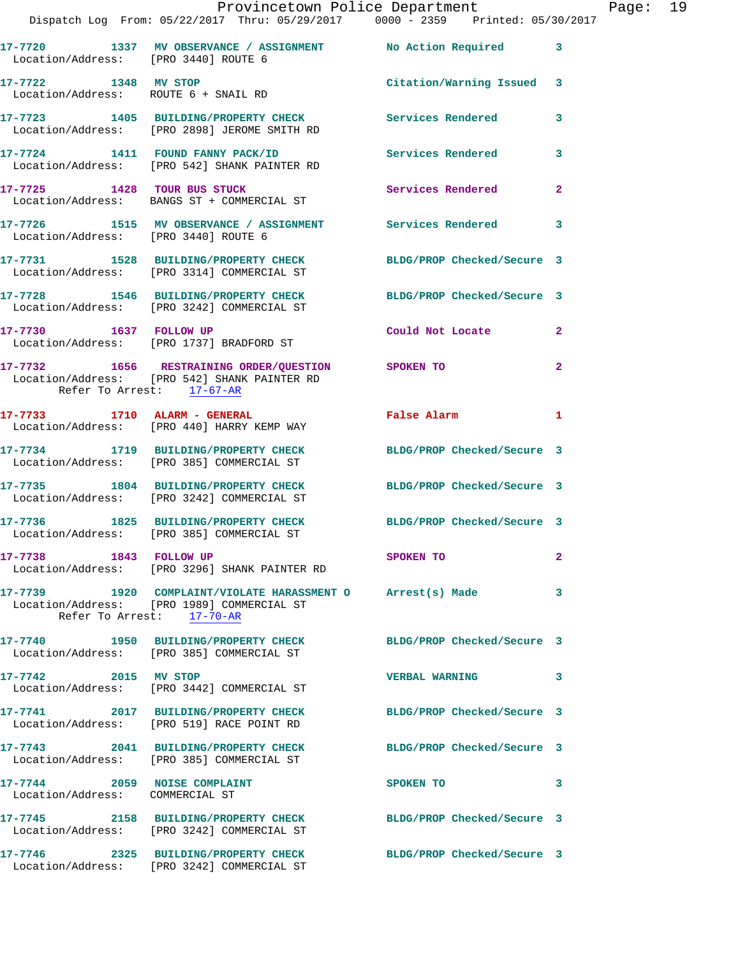|                                                                 | Provincetown Police Department<br>Dispatch Log From: 05/22/2017 Thru: 05/29/2017 0000 - 2359 Printed: 05/30/2017                      |                            |                |
|-----------------------------------------------------------------|---------------------------------------------------------------------------------------------------------------------------------------|----------------------------|----------------|
|                                                                 | 17-7720   1337 MV OBSERVANCE / ASSIGNMENT   No Action Required<br>Location/Address: [PRO 3440] ROUTE 6                                |                            | 3              |
| 17-7722 1348 MV STOP<br>Location/Address: ROUTE 6 + SNAIL RD    |                                                                                                                                       | Citation/Warning Issued    | 3              |
|                                                                 | 17-7723 1405 BUILDING/PROPERTY CHECK Services Rendered<br>Location/Address: [PRO 2898] JEROME SMITH RD                                |                            | 3              |
|                                                                 | 17-7724 1411 FOUND FANNY PACK/ID<br>Location/Address: [PRO 542] SHANK PAINTER RD                                                      | <b>Services Rendered</b>   | 3              |
|                                                                 | 17-7725 1428 TOUR BUS STUCK<br>Location/Address: BANGS ST + COMMERCIAL ST                                                             | <b>Services Rendered</b>   | $\overline{a}$ |
| Location/Address: [PRO 3440] ROUTE 6                            | 17-7726 1515 MV OBSERVANCE / ASSIGNMENT Services Rendered                                                                             |                            | 3              |
|                                                                 | 17-7731 1528 BUILDING/PROPERTY CHECK BLDG/PROP Checked/Secure 3<br>Location/Address: [PRO 3314] COMMERCIAL ST                         |                            |                |
|                                                                 | 17-7728 1546 BUILDING/PROPERTY CHECK BLDG/PROP Checked/Secure 3<br>Location/Address: [PRO 3242] COMMERCIAL ST                         |                            |                |
| 17-7730 1637 FOLLOW UP                                          | Location/Address: [PRO 1737] BRADFORD ST                                                                                              | Could Not Locate           | $\overline{2}$ |
| Refer To Arrest: 17-67-AR                                       | 17-7732 1656 RESTRAINING ORDER/QUESTION SPOKEN TO<br>Location/Address: [PRO 542] SHANK PAINTER RD                                     |                            | $\mathbf{2}$   |
| 17-7733 1710 ALARM - GENERAL                                    | Location/Address: [PRO 440] HARRY KEMP WAY                                                                                            | False Alarm                | 1              |
|                                                                 | 17-7734 1719 BUILDING/PROPERTY CHECK<br>Location/Address: [PRO 385] COMMERCIAL ST                                                     | BLDG/PROP Checked/Secure 3 |                |
|                                                                 | 17-7735 1804 BUILDING/PROPERTY CHECK BLDG/PROP Checked/Secure 3<br>Location/Address: [PRO 3242] COMMERCIAL ST                         |                            |                |
|                                                                 | 17-7736 1825 BUILDING/PROPERTY CHECK<br>Location/Address: [PRO 385] COMMERCIAL ST                                                     | BLDG/PROP Checked/Secure 3 |                |
| 17-7738 1843 FOLLOW UP                                          | Location/Address: [PRO 3296] SHANK PAINTER RD                                                                                         | SPOKEN TO                  | $\mathbf{2}$   |
|                                                                 | 17-7739 1920 COMPLAINT/VIOLATE HARASSMENT O Arrest(s) Made<br>Location/Address: [PRO 1989] COMMERCIAL ST<br>Refer To Arrest: 17-70-AR |                            | 3              |
|                                                                 | 17-7740 1950 BUILDING/PROPERTY CHECK BLDG/PROP Checked/Secure 3<br>Location/Address: [PRO 385] COMMERCIAL ST                          |                            |                |
| 17-7742 2015 MV STOP                                            | Location/Address: [PRO 3442] COMMERCIAL ST                                                                                            | <b>VERBAL WARNING</b>      | 3              |
|                                                                 | 17-7741 2017 BUILDING/PROPERTY CHECK<br>Location/Address: [PRO 519] RACE POINT RD                                                     | BLDG/PROP Checked/Secure 3 |                |
|                                                                 | 17-7743 2041 BUILDING/PROPERTY CHECK<br>Location/Address: [PRO 385] COMMERCIAL ST                                                     | BLDG/PROP Checked/Secure 3 |                |
| 17-7744 2059 NOISE COMPLAINT<br>Location/Address: COMMERCIAL ST |                                                                                                                                       | SPOKEN TO                  | 3              |
|                                                                 | 17-7745 2158 BUILDING/PROPERTY CHECK BLDG/PROP Checked/Secure 3<br>Location/Address: [PRO 3242] COMMERCIAL ST                         |                            |                |
|                                                                 | 17-7746 2325 BUILDING/PROPERTY CHECK<br>Location/Address: [PRO 3242] COMMERCIAL ST                                                    | BLDG/PROP Checked/Secure 3 |                |

Page:  $19$ <br> $1017$